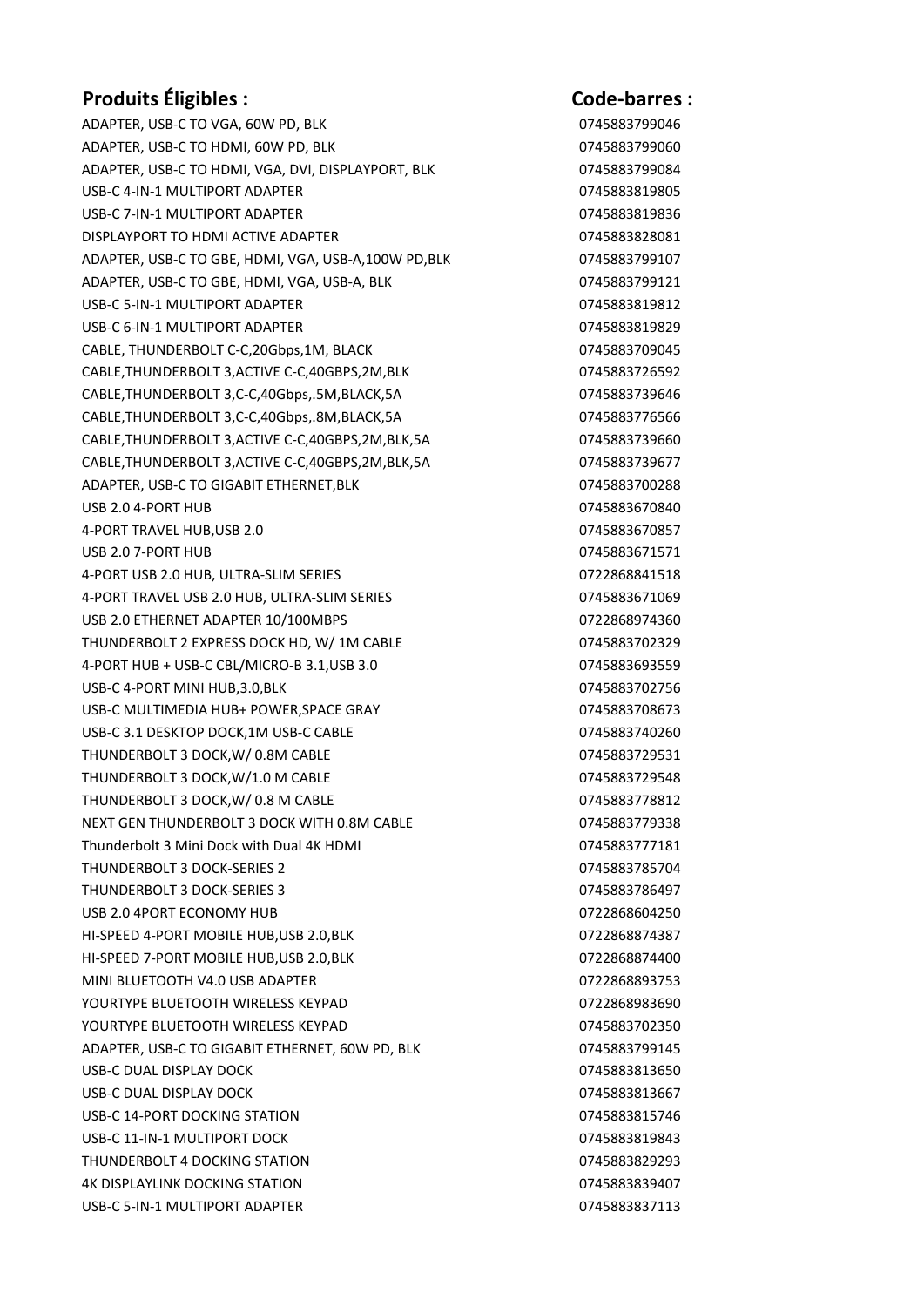## Produits Éligibles : Code-barres :

ADAPTER, USB-C TO VGA, 60W PD, BLK 0745883799046 ADAPTER, USB-C TO HDMI, 60W PD, BLK 0745883799060 ADAPTER, USB-C TO HDMI, VGA, DVI, DISPLAYPORT, BLK 0745883799084 USB-C 4-IN-1 MULTIPORT ADAPTER 0745883819805 USB-C 7-IN-1 MULTIPORT ADAPTER **0745883819836** DISPLAYPORT TO HDMI ACTIVE ADAPTER **0745883828081** ADAPTER, USB-C TO GBE, HDMI, VGA, USB-A,100W PD,BLK 0745883799107 ADAPTER, USB-C TO GBE, HDMI, VGA, USB-A, BLK 0745883799121 USB-C 5-IN-1 MULTIPORT ADAPTER 0745883819812 USB-C 6-IN-1 MULTIPORT ADAPTER 0745883819829 CABLE, THUNDERBOLT C-C,20Gbps,1M, BLACK 0745883709045 CABLE,THUNDERBOLT 3,ACTIVE C-C,40GBPS,2M,BLK 0745883726592 CABLE,THUNDERBOLT 3,C-C,40Gbps,.5M,BLACK,5A 0745883739646 CABLE,THUNDERBOLT 3,C-C,40Gbps,.8M,BLACK,5A 0745883776566 CABLE,THUNDERBOLT 3,ACTIVE C-C,40GBPS,2M,BLK,5A 0745883739660 CABLE,THUNDERBOLT 3,ACTIVE C-C,40GBPS,2M,BLK,5A 0745883739677 ADAPTER, USB-C TO GIGABIT ETHERNET, BLK 0745883700288 USB 2.0 4-PORT HUB 0745883670840 4-PORT TRAVEL HUB,USB 2.0 0745883670857 USB 2.0 7-PORT HUB 0745883671571 4-PORT USB 2.0 HUB, ULTRA-SLIM SERIES 0722868841518 4-PORT TRAVEL USB 2.0 HUB, ULTRA-SLIM SERIES 0745883671069 USB 2.0 ETHERNET ADAPTER 10/100MBPS 0722868974360 THUNDERBOLT 2 EXPRESS DOCK HD, W/ 1M CABLE 0745883702329 4-PORT HUB + USB-C CBL/MICRO-B 3.1,USB 3.0 0745883693559 USB-C 4-PORT MINI HUB,3.0,BLK 0745883702756 USB-C MULTIMEDIA HUB+ POWER, SPACE GRAY **0745883708673** USB-C 3.1 DESKTOP DOCK.1M USB-C CABLE 0745883740260 THUNDERBOLT 3 DOCK,W/ 0.8M CABLE 0745883729531 THUNDERBOLT 3 DOCK,W/1.0 M CABLE 0745883729548 THUNDERBOLT 3 DOCK,W/ 0.8 M CABLE 0745883778812 NEXT GEN THUNDERBOLT 3 DOCK WITH 0.8M CABLE 0745883779338 Thunderbolt 3 Mini Dock with Dual 4K HDMI 0745883777181 THUNDERBOLT 3 DOCK-SERIES 2 0745883785704 THUNDERBOLT 3 DOCK-SERIES 3 0745883786497 USB 2.0 4PORT ECONOMY HUB 0722868604250 HI-SPEED 4-PORT MOBILE HUB,USB 2.0,BLK 0722868874387 HI-SPEED 7-PORT MOBILE HUB,USB 2.0,BLK 0722868874400 MINI BLUETOOTH V4.0 USB ADAPTER 0722868893753 YOURTYPE BLUETOOTH WIRELESS KEYPAD **1988-07-1000** 0722868983690 YOURTYPE BLUETOOTH WIRELESS KEYPAD **CONTROL CONTROL** 0745883702350 ADAPTER, USB-C TO GIGABIT ETHERNET, 60W PD, BLK 0745883799145 USB-C DUAL DISPLAY DOCK DESCRIPTION OF A 1990 OF A 1990 OF A 1990 OF A 1991 OF A 1991 OF A 1991 OF A 1991 OF A USB-C DUAL DISPLAY DOCK 8 0745883813667 USB-C 14-PORT DOCKING STATION 0745883815746 USB-C 11-IN-1 MULTIPORT DOCK 0745883819843 THUNDERBOLT 4 DOCKING STATION 0745883829293 4K DISPLAYLINK DOCKING STATION 0745883839407 USB-C 5-IN-1 MULTIPORT ADAPTER 0745883837113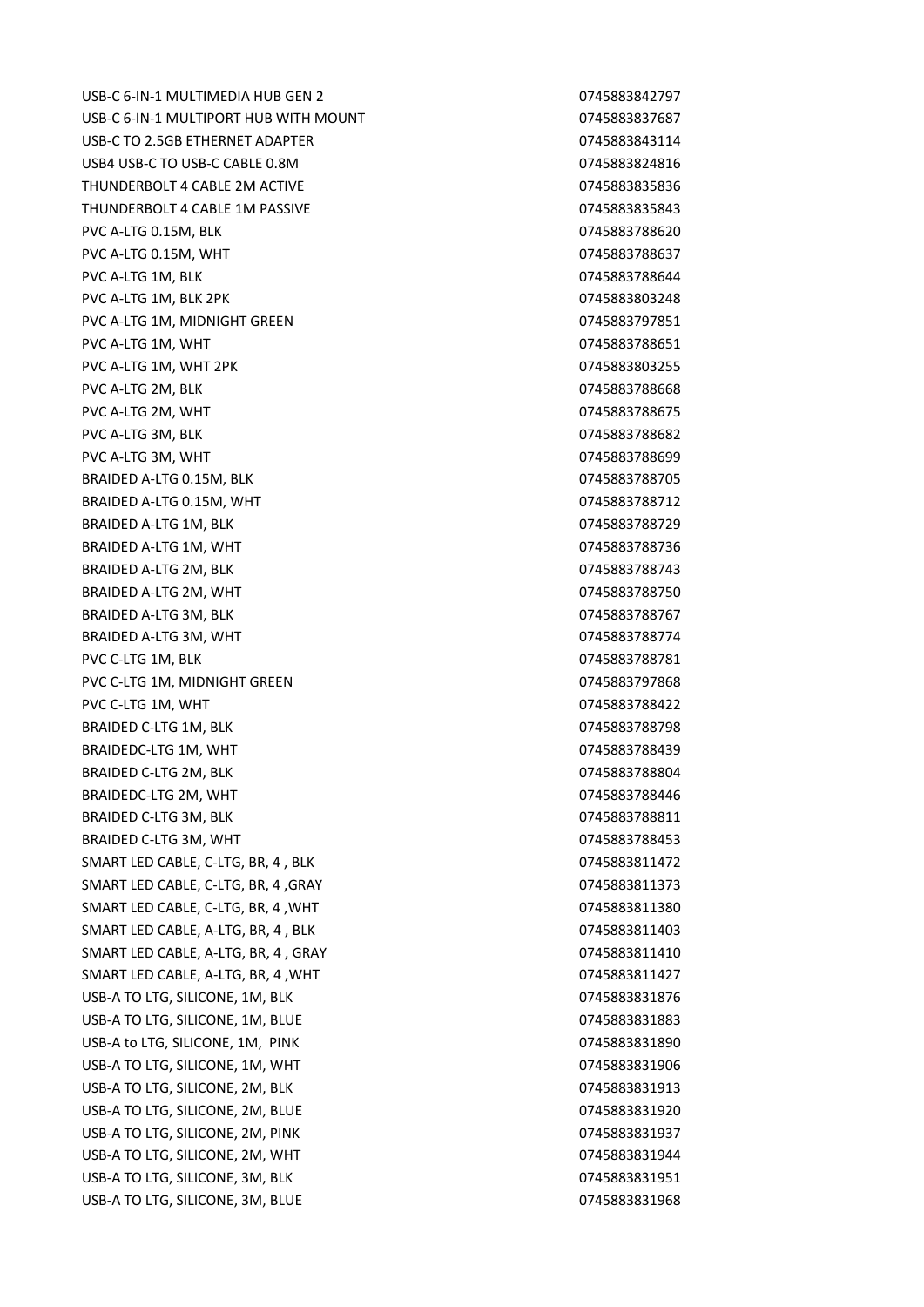USB-C 6-IN-1 MULTIMEDIA HUB GEN 2 0745883842797 USB-C 6-IN-1 MULTIPORT HUB WITH MOUNT CONTROLLED THE CONTROLL ON A 20145883837687 USB-C TO 2.5GB ETHERNET ADAPTER 0745883843114 USB4 USB-C TO USB-C CABLE 0.8M 0745883824816 THUNDERBOLT 4 CABLE 2M ACTIVE 0745883835836836836836 THUNDERBOLT 4 CABLE 1M PASSIVE 0745883835843 PVC A-LTG 0.15M, BLK 0745883788620 PVC A-LTG 0.15M, WHT **CONSUMING THE CONSUMING A REPORT OF A REPORT OF A REPORT OF A REPORT OF A REPORT OF A REPORT OF A REPORT OF A REPORT OF A REPORT OF A REPORT OF A REPORT OF A REPORT OF A REPORT OF A REPORT OF A REPORT** PVC A-LTG 1M, BLK 0745883788644 PVC A-LTG 1M, BLK 2PK 0745883803248 PVC A-LTG 1M, MIDNIGHT GREEN 0745883797851 PVC A-LTG 1M, WHT 0745883788651 PVC A-LTG 1M, WHT 2PK 0745883803255 PVC A-LTG 2M, BLK 0745883788668 PVC A-LTG 2M, WHT 0745883788675 PVC A-LTG 3M, BLK 0745883788682 PVC A-LTG 3M, WHT 0745883788699 BRAIDED A-LTG 0.15M, BLK 0745883788705 BRAIDED A-LTG 0.15M, WHT 0745883788712 BRAIDED A-LTG 1M, BLK 0745883788729 BRAIDED A-LTG 1M, WHT 0745883788736 BRAIDED A-LTG 2M, BLK 0745883788743 BRAIDED A-LTG 2M, WHT 0745883788750 BRAIDED A-LTG 3M, BLK 0745883788767 BRAIDED A-LTG 3M, WHT 0745883788774 PVC C-LTG 1M, BLK 0745883788781 PVC C-LTG 1M, MIDNIGHT GREEN 0745883797868 PVC C-LTG 1M, WHT 0745883788422 BRAIDED C-LTG 1M, BLK 0745883788798 BRAIDEDC-LTG 1M, WHT 0745883788439 BRAIDED C-LTG 2M, BLK 0745883788804 BRAIDEDC-LTG 2M, WHT 0745883788446 BRAIDED C-LTG 3M, BLK 0745883788811 BRAIDED C-LTG 3M, WHT 0745883788453 SMART LED CABLE, C-LTG, BR, 4 , BLK 0745883811472 SMART LED CABLE, C-LTG, BR, 4 , GRAY 0745883811373 SMART LED CABLE, C-LTG, BR, 4 ,WHT 0745883811380 SMART LED CABLE, A-LTG, BR, 4, BLK 0745883811403 SMART LED CABLE, A-LTG, BR, 4 , GRAY 0745883811410 SMART LED CABLE, A-LTG, BR, 4 ,WHT 0745883811427 USB-A TO LTG, SILICONE, 1M, BLK 0745883831876 USB-A TO LTG, SILICONE, 1M, BLUE 0745883831883 USB-A to LTG, SILICONE, 1M, PINK 0745883831890 USB-A TO LTG, SILICONE, 1M, WHT 0745883831906 USB-A TO LTG, SILICONE, 2M, BLK 0745883831913 USB-A TO LTG, SILICONE, 2M, BLUE 0745883831920 USB-A TO LTG, SILICONE, 2M, PINK 0745883831937 USB-A TO LTG, SILICONE, 2M, WHT 0745883831944 USB-A TO LTG, SILICONE, 3M, BLK 0745883831951 USB-A TO LTG, SILICONE, 3M, BLUE 0745883831968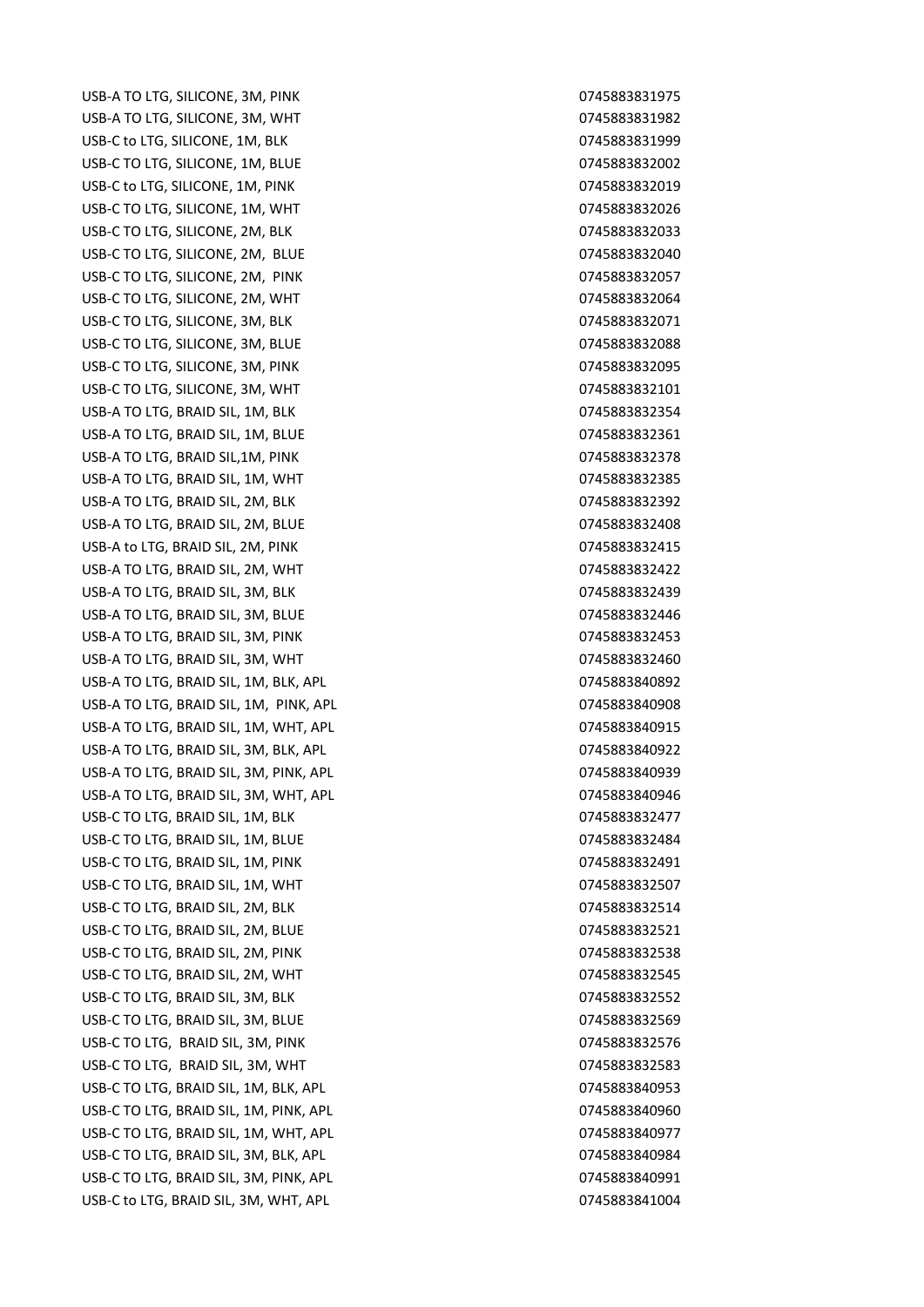USB-A TO LTG. SILICONE. 3M. PINK 0745883831975 USB-A TO LTG, SILICONE, 3M, WHT 0745883831982 USB-C to LTG, SILICONE, 1M, BLK 0745883831999 USB-C TO LTG, SILICONE, 1M, BLUE 0745883832002 USB-C to LTG, SILICONE, 1M, PINK 0745883832019 USB-C TO LTG, SILICONE, 1M, WHT 0745883832026 USB-C TO LTG, SILICONE, 2M, BLK 0745883832033 USB-C TO LTG, SILICONE, 2M, BLUE 0745883832040 USB-C TO LTG, SILICONE, 2M, PINK 0745883832057 USB-C TO LTG, SILICONE, 2M, WHT 0745883832064 USB-C TO LTG, SILICONE, 3M, BLK 0745883832071 USB-C TO LTG, SILICONE, 3M, BLUE 0745883832088 USB-C TO LTG, SILICONE, 3M, PINK 0745883832095 USB-C TO LTG, SILICONE, 3M, WHT 0745883832101 USB-A TO LTG, BRAID SIL, 1M, BLK 0745883832354 USB-A TO LTG, BRAID SIL, 1M, BLUE 0745883832361 USB-A TO LTG, BRAID SIL,1M, PINK 0745883832378 USB-A TO LTG, BRAID SIL, 1M, WHT 0745883832385 USB-A TO LTG, BRAID SIL, 2M, BLK 0745883832392 USB-A TO LTG, BRAID SIL, 2M, BLUE 0745883832408 USB-A to LTG, BRAID SIL, 2M, PINK 0745883832415 USB-A TO LTG, BRAID SIL, 2M, WHT 0745883832422 USB-A TO LTG, BRAID SIL, 3M, BLK 0745883832439 USB-A TO LTG, BRAID SIL, 3M, BLUE 0745883832446 USB-A TO LTG, BRAID SIL, 3M, PINK 0745883832453 USB-A TO LTG, BRAID SIL, 3M, WHT 0745883832460 USB-A TO LTG, BRAID SIL, 1M, BLK, APL 0745883840892 USB-A TO LTG, BRAID SIL, 1M, PINK, APL 0745883840908 USB-A TO LTG, BRAID SIL, 1M, WHT, APL 0745883840915 USB-A TO LTG, BRAID SIL, 3M, BLK, APL 0745883840922 USB-A TO LTG, BRAID SIL, 3M, PINK, APL 0745883840939 USB-A TO LTG, BRAID SIL, 3M, WHT, APL 0745883840946 USB-C TO LTG, BRAID SIL, 1M, BLK 0745883832477 USB-C TO LTG, BRAID SIL, 1M, BLUE 0745883832484 USB-C TO LTG. BRAID SIL. 1M. PINK 0745883832491 USB-C TO LTG, BRAID SIL, 1M, WHT 0745883832507 USB-C TO LTG, BRAID SIL, 2M, BLK 0745883832514 USB-C TO LTG, BRAID SIL, 2M, BLUE 0745883832521 USB-C TO LTG, BRAID SIL, 2M, PINK 0745883832538 USB-C TO LTG, BRAID SIL, 2M, WHT 0745883832545 USB-C TO LTG, BRAID SIL, 3M, BLK 0745883832552 USB-C TO LTG, BRAID SIL, 3M, BLUE 0745883832569 USB-C TO LTG, BRAID SIL, 3M, PINK 0745883832576 USB-C TO LTG, BRAID SIL, 3M, WHT 0745883832583 USB-C TO LTG, BRAID SIL, 1M, BLK, APL 0745883840953 USB-C TO LTG, BRAID SIL, 1M, PINK, APL 0745883840960 USB-C TO LTG, BRAID SIL, 1M, WHT, APL 0745883840977 USB-C TO LTG, BRAID SIL, 3M, BLK, APL 0745883840984 USB-C TO LTG, BRAID SIL, 3M, PINK, APL 0745883840991 USB-C to LTG, BRAID SIL, 3M, WHT, APL 0745883841004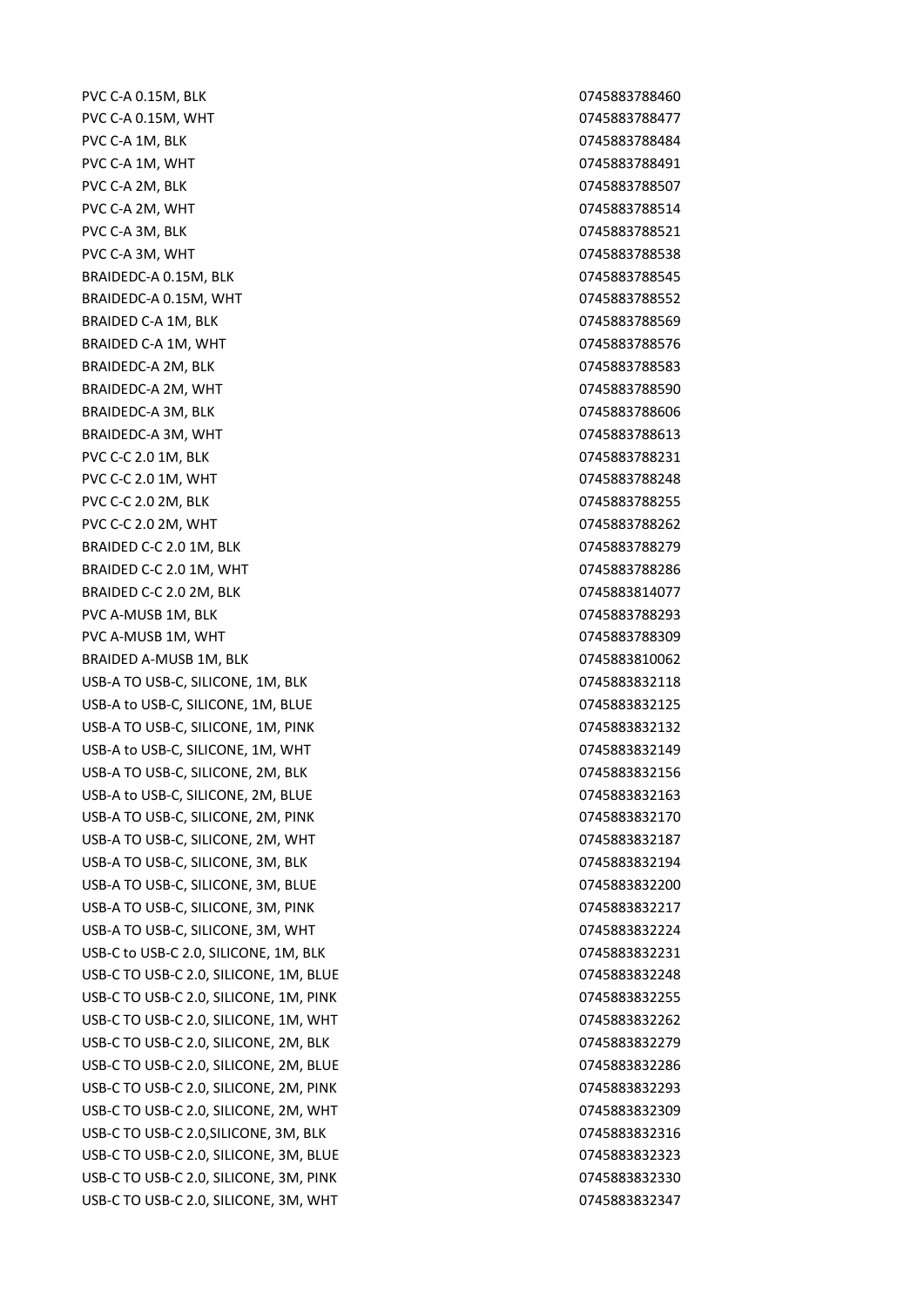PVC C-A 0.15M, BLK 0745883788460 PVC C-A 0.15M, WHT **DEVELOPS AND CONSUMING THE OF A SET OF A SET OF A SET OF A SET OF A SET OF A SET OF A SET O** PVC C-A 1M, BLK 2004 100 2004 12:00 2004 12:00 2004 12:00 2004 13:00 2004 13:00 2004 13:00 2004 13:00 2004 13:00 2004 13:00 2004 13:00 2004 13:00 2004 13:00 2004 13:00 2004 13:00 2004 13:00 2004 13:00 2004 13:00 2004 13:00 PVC C-A 1M, WHT 0745883788491 PVC C-A 2M, BLK 0745883788507 PVC C-A 2M, WHT 2008 2009 2012 2022 2023 2034 2040 2045883788514 PVC C-A 3M, BLK 0745883788521 PVC C-A 3M, WHT 0745883788538 BRAIDEDC-A 0.15M, BLK 0745883788545 BRAIDEDC-A 0.15M, WHT 0745883788552 BRAIDED C-A 1M, BLK 0745883788569 BRAIDED C-A 1M, WHT 0745883788576 BRAIDEDC-A 2M, BLK 0745883788583 BRAIDEDC-A 2M, WHT 0745883788590 BRAIDEDC-A 3M, BLK 0745883788606 BRAIDEDC-A 3M, WHT 0745883788613 PVC C-C 2.0 1M, BLK 0745883788231 PVC C-C 2.0 1M, WHT 0745883788248 PVC C-C 2.0 2M, BLK 0745883788255 PVC C-C 2.0 2M, WHT 0745883788262 BRAIDED C-C 2.0 1M, BLK 0745883788279 BRAIDED C-C 2.0 1M, WHT 0745883788286 BRAIDED C-C 2.0 2M, BLK 0745883814077 PVC A-MUSB 1M, BLK 0745883788293 PVC A-MUSB 1M, WHT 0745883788309 BRAIDED A-MUSB 1M, BLK 0745883810062 USB-A TO USB-C, SILICONE, 1M, BLK 0745883832118 USB-A to USB-C, SILICONE, 1M, BLUE 0745883832125 USB-A TO USB-C, SILICONE, 1M, PINK 0745883832132 USB-A to USB-C, SILICONE, 1M, WHT 0745883832149 USB-A TO USB-C, SILICONE, 2M, BLK 0745883832156 USB-A to USB-C, SILICONE, 2M, BLUE 0745883832163 USB-A TO USB-C, SILICONE, 2M, PINK 0745883832170 USB-A TO USB-C, SILICONE, 2M, WHT 0745883832187 USB-A TO USB-C, SILICONE, 3M, BLK 0745883832194 USB-A TO USB-C, SILICONE, 3M, BLUE 0745883832200 USB-A TO USB-C, SILICONE, 3M, PINK 0745883832217 USB-A TO USB-C, SILICONE, 3M, WHT 0745883832224 USB-C to USB-C 2.0, SILICONE, 1M, BLK 0745883832231 USB-C TO USB-C 2.0, SILICONE, 1M, BLUE 0745883832248 USB-C TO USB-C 2.0, SILICONE, 1M, PINK 0745883832255 USB-C TO USB-C 2.0, SILICONE, 1M, WHT 0745883832262 USB-C TO USB-C 2.0, SILICONE, 2M, BLK 0745883832279 USB-C TO USB-C 2.0, SILICONE, 2M, BLUE 0745883832286 USB-C TO USB-C 2.0, SILICONE, 2M, PINK 0745883832293 USB-C TO USB-C 2.0, SILICONE, 2M, WHT 0745883832309 USB-C TO USB-C 2.0, SILICONE, 3M, BLK 0745883832316 USB-C TO USB-C 2.0, SILICONE, 3M, BLUE 0745883832323 USB-C TO USB-C 2.0, SILICONE, 3M, PINK 0745883832330 USB-C TO USB-C 2.0, SILICONE, 3M, WHT 0745883832347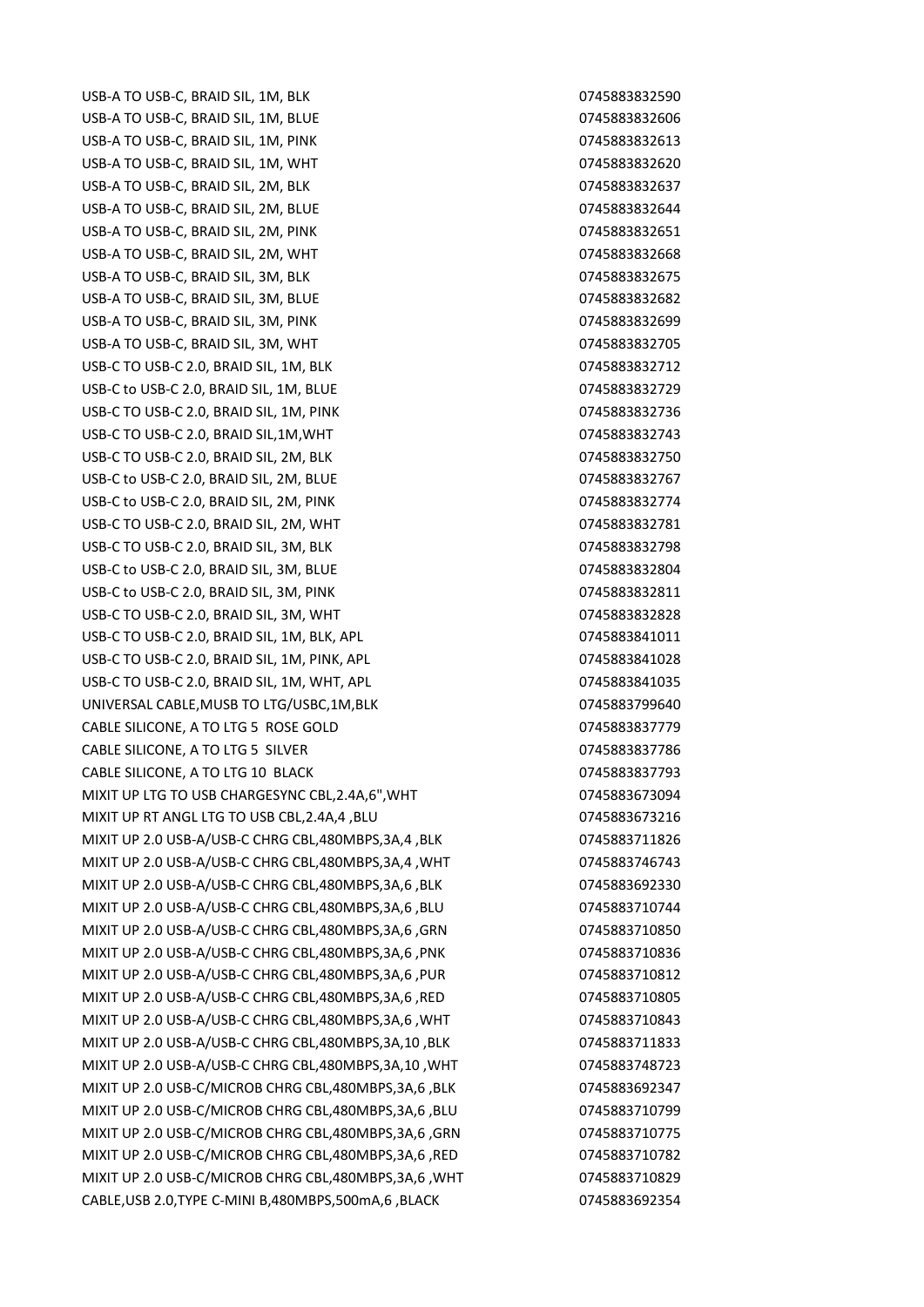USB-A TO USB-C, BRAID SIL, 1M, BLK 0745883832590 USB-A TO USB-C, BRAID SIL, 1M, BLUE 0745883832606 USB-A TO USB-C, BRAID SIL, 1M, PINK 0745883832613 USB-A TO USB-C, BRAID SIL, 1M, WHT 0745883832620 USB-A TO USB-C, BRAID SIL, 2M, BLK 0745883832637 USB-A TO USB-C, BRAID SIL, 2M, BLUE 0745883832644 USB-A TO USB-C, BRAID SIL, 2M, PINK 0745883832651 USB-A TO USB-C, BRAID SIL, 2M, WHT 0745883832668 USB-A TO USB-C, BRAID SIL, 3M, BLK 0745883832675 USB-A TO USB-C, BRAID SIL, 3M, BLUE 0745883832682 USB-A TO USB-C, BRAID SIL, 3M, PINK 0745883832699 USB-A TO USB-C, BRAID SIL, 3M, WHT 0745883832705 USB-C TO USB-C 2.0, BRAID SIL, 1M, BLK 0745883832712 USB-C to USB-C 2.0, BRAID SIL, 1M, BLUE 0745883832729 USB-C TO USB-C 2.0, BRAID SIL, 1M, PINK 0745883832736 USB-C TO USB-C 2.0, BRAID SIL,1M,WHT 0745883832743 USB-C TO USB-C 2.0, BRAID SIL, 2M, BLK 0745883832750 USB-C to USB-C 2.0, BRAID SIL, 2M, BLUE 0745883832767 USB-C to USB-C 2.0, BRAID SIL, 2M, PINK 0745883832774 USB-C TO USB-C 2.0, BRAID SIL, 2M, WHT 0745883832781 USB-C TO USB-C 2.0, BRAID SIL, 3M, BLK 0745883832798 USB-C to USB-C 2.0, BRAID SIL, 3M, BLUE 0745883832804 USB-C to USB-C 2.0, BRAID SIL, 3M, PINK 0745883832811 USB-C TO USB-C 2.0, BRAID SIL, 3M, WHT 0745883832828 USB-C TO USB-C 2.0, BRAID SIL, 1M, BLK, APL 0745883841011 USB-C TO USB-C 2.0, BRAID SIL, 1M, PINK, APL 0745883841028 USB-C TO USB-C 2.0, BRAID SIL, 1M, WHT, APL 0745883841035 UNIVERSAL CABLE, MUSB TO LTG/USBC, 1M, BLK
0745883799640 CABLE SILICONE, A TO LTG 5 ROSE GOLD CABLE 31 0745883837779 CABLE SILICONE, A TO LTG 5 SILVER 0745883837786 CABLE SILICONE, A TO LTG 10 BLACK 0745883837793 MIXIT UP LTG TO USB CHARGESYNC CBL,2.4A,6",WHT 0745883673094 MIXIT UP RT ANGL LTG TO USB CBL,2.4A,4 ,BLU 0745883673216 MIXIT UP 2.0 USB-A/USB-C CHRG CBL,480MBPS,3A,4 ,BLK 0745883711826 MIXIT UP 2.0 USB-A/USB-C CHRG CBL,480MBPS,3A,4 ,WHT 0745883746743 MIXIT UP 2.0 USB-A/USB-C CHRG CBL,480MBPS,3A,6 ,BLK 0745883692330 MIXIT UP 2.0 USB-A/USB-C CHRG CBL,480MBPS,3A,6 ,BLU 0745883710744 MIXIT UP 2.0 USB-A/USB-C CHRG CBL,480MBPS,3A,6 ,GRN 0745883710850 MIXIT UP 2.0 USB-A/USB-C CHRG CBL,480MBPS,3A,6 ,PNK 0745883710836 MIXIT UP 2.0 USB-A/USB-C CHRG CBL,480MBPS,3A,6 ,PUR 0745883710812 MIXIT UP 2.0 USB-A/USB-C CHRG CBL,480MBPS,3A,6 ,RED 0745883710805 MIXIT UP 2.0 USB-A/USB-C CHRG CBL,480MBPS,3A,6 ,WHT 0745883710843 MIXIT UP 2.0 USB-A/USB-C CHRG CBL,480MBPS,3A,10 ,BLK 0745883711833 MIXIT UP 2.0 USB-A/USB-C CHRG CBL,480MBPS,3A,10 ,WHT 0745883748723 MIXIT UP 2.0 USB-C/MICROB CHRG CBL,480MBPS,3A,6 ,BLK 0745883692347 MIXIT UP 2.0 USB-C/MICROB CHRG CBL,480MBPS,3A,6 ,BLU 0745883710799 MIXIT UP 2.0 USB-C/MICROB CHRG CBL,480MBPS,3A,6 ,GRN 0745883710775 MIXIT UP 2.0 USB-C/MICROB CHRG CBL,480MBPS,3A,6 ,RED 0745883710782 MIXIT UP 2.0 USB-C/MICROB CHRG CBL,480MBPS,3A,6 ,WHT 0745883710829 CABLE,USB 2.0,TYPE C-MINI B,480MBPS,500mA,6 ,BLACK 0745883692354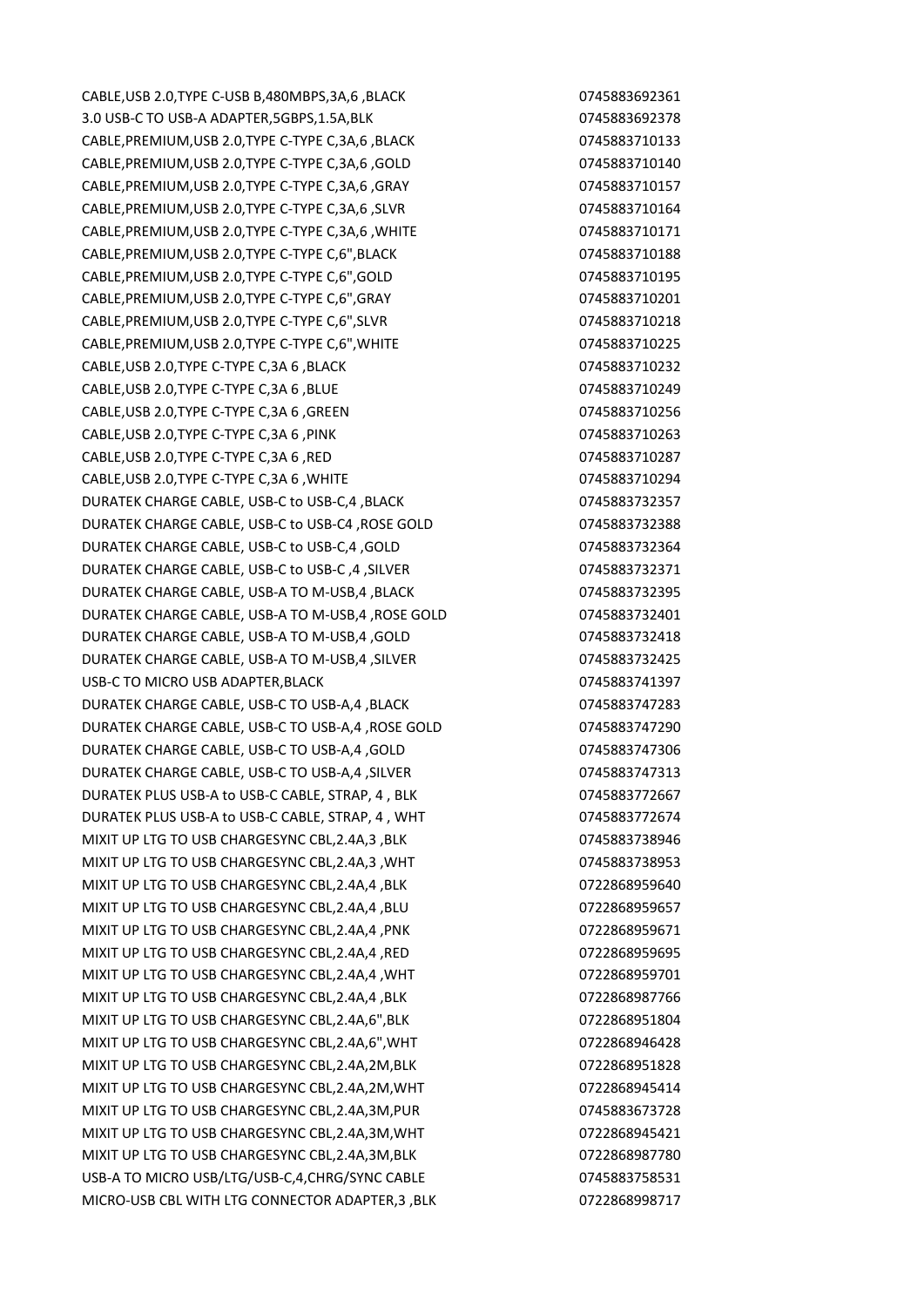CABLE,USB 2.0,TYPE C-USB B,480MBPS,3A,6 ,BLACK 0745883692361 3.0 USB-C TO USB-A ADAPTER,5GBPS,1.5A,BLK 0745883692378 CABLE,PREMIUM,USB 2.0,TYPE C-TYPE C,3A,6 ,BLACK 0745883710133 CABLE,PREMIUM,USB 2.0,TYPE C-TYPE C,3A,6 ,GOLD 0745883710140 CABLE,PREMIUM,USB 2.0,TYPE C-TYPE C,3A,6 ,GRAY 0745883710157 CABLE,PREMIUM,USB 2.0,TYPE C-TYPE C,3A,6 ,SLVR 0745883710164 CABLE,PREMIUM,USB 2.0,TYPE C-TYPE C,3A,6 ,WHITE 0745883710171 CABLE,PREMIUM,USB 2.0,TYPE C-TYPE C,6",BLACK 0745883710188 CABLE,PREMIUM,USB 2.0,TYPE C-TYPE C,6",GOLD 0745883710195 CABLE,PREMIUM,USB 2.0,TYPE C-TYPE C,6",GRAY 0745883710201 CABLE,PREMIUM,USB 2.0,TYPE C-TYPE C,6",SLVR 0745883710218 CABLE,PREMIUM,USB 2.0,TYPE C-TYPE C,6",WHITE 0745883710225 CABLE,USB 2.0,TYPE C-TYPE C,3A 6 ,BLACK 0745883710232 CABLE,USB 2.0,TYPE C-TYPE C,3A 6 ,BLUE 0745883710249 CABLE,USB 2.0,TYPE C-TYPE C,3A 6 ,GREEN 0745883710256 CABLE,USB 2.0,TYPE C-TYPE C,3A 6 ,PINK 0745883710263 CABLE,USB 2.0,TYPE C-TYPE C,3A 6 ,RED 0745883710287 CABLE,USB 2.0,TYPE C-TYPE C,3A 6 ,WHITE 0745883710294 DURATEK CHARGE CABLE, USB-C to USB-C,4 ,BLACK 0745883732357 DURATEK CHARGE CABLE, USB-C to USB-C4 ,ROSE GOLD 0745883732388 DURATEK CHARGE CABLE, USB-C to USB-C,4 ,GOLD 0745883732364 DURATEK CHARGE CABLE, USB-C to USB-C, 4, SILVER 0745883732371 DURATEK CHARGE CABLE, USB-A TO M-USB,4 ,BLACK 0745883732395 DURATEK CHARGE CABLE, USB-A TO M-USB,4 ,ROSE GOLD 0745883732401 DURATEK CHARGE CABLE, USB-A TO M-USB,4 ,GOLD 0745883732418 DURATEK CHARGE CABLE, USB-A TO M-USB,4 ,SILVER 0745883732425 USB-C TO MICRO USB ADAPTER, BLACK **CONSERVER 1998** 0745883741397 DURATEK CHARGE CABLE, USB-C TO USB-A,4 ,BLACK 0745883747283 DURATEK CHARGE CABLE, USB-C TO USB-A,4 ,ROSE GOLD 0745883747290 DURATEK CHARGE CABLE, USB-C TO USB-A,4 ,GOLD 0745883747306 DURATEK CHARGE CABLE, USB-C TO USB-A,4, SILVER 0745883747313 DURATEK PLUS USB-A to USB-C CABLE, STRAP, 4 , BLK 0745883772667 DURATEK PLUS USB-A to USB-C CABLE, STRAP, 4, WHT 0745883772674 MIXIT UP LTG TO USB CHARGESYNC CBL, 2.4A, 3, BLK 0745883738946 MIXIT UP LTG TO USB CHARGESYNC CBL.2.4A.3 .WHT 0745883738953 MIXIT UP LTG TO USB CHARGESYNC CBL, 2.4A, 4.BLK 0722868959640 MIXIT UP LTG TO USB CHARGESYNC CBL, 2.4A, 4, BLU 0722868959657 MIXIT UP LTG TO USB CHARGESYNC CBL, 2.4A, 4, PNK 0722868959671 MIXIT UP LTG TO USB CHARGESYNC CBL,2.4A,4 ,RED 0722868959695 MIXIT UP LTG TO USB CHARGESYNC CBL, 2.4A, 4, WHT 0722868959701 MIXIT UP LTG TO USB CHARGESYNC CBL.2.4A.4 .BLK 0722868987766 MIXIT UP LTG TO USB CHARGESYNC CBL,2.4A,6",BLK 0722868951804 MIXIT UP LTG TO USB CHARGESYNC CBL, 2.4A, 6", WHT 0722868946428 MIXIT UP LTG TO USB CHARGESYNC CBL, 2.4A, 2M, BLK 0722868951828 MIXIT UP LTG TO USB CHARGESYNC CBL,2.4A,2M,WHT 0722868945414 MIXIT UP LTG TO USB CHARGESYNC CBL, 2.4A, 3M, PUR 0745883673728 MIXIT UP LTG TO USB CHARGESYNC CBL,2.4A,3M,WHT 0722868945421 MIXIT UP LTG TO USB CHARGESYNC CBL, 2.4A, 3M, BLK 0722868987780 USB-A TO MICRO USB/LTG/USB-C,4,CHRG/SYNC CABLE 0745883758531 MICRO-USB CBL WITH LTG CONNECTOR ADAPTER,3 ,BLK 0722868998717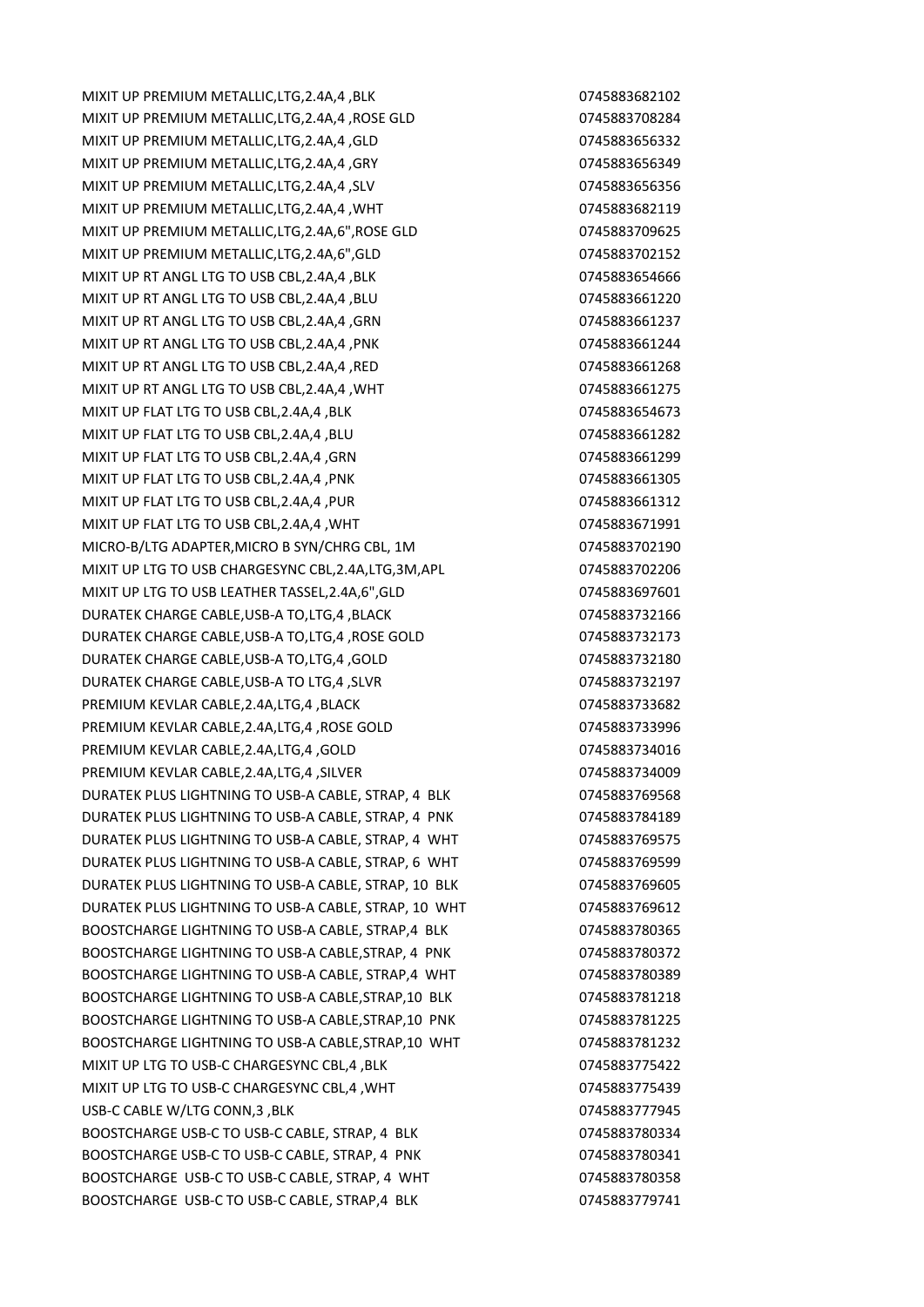MIXIT UP PREMIUM METALLIC,LTG,2.4A,4 ,BLK 0745883682102 MIXIT UP PREMIUM METALLIC,LTG,2.4A,4 ,ROSE GLD 0745883708284 MIXIT UP PREMIUM METALLIC,LTG,2.4A,4 ,GLD 0745883656332 MIXIT UP PREMIUM METALLIC,LTG,2.4A,4 ,GRY 0745883656349 MIXIT UP PREMIUM METALLIC,LTG,2.4A,4 ,SLV 0745883656356356356356 MIXIT UP PREMIUM METALLIC,LTG,2.4A,4 ,WHT 0745883682119 MIXIT UP PREMIUM METALLIC,LTG,2.4A,6",ROSE GLD 0745883709625 MIXIT UP PREMIUM METALLIC,LTG,2.4A,6",GLD 0745883702152 MIXIT UP RT ANGL LTG TO USB CBL, 2.4A, 4 , BLK 074588365466666 MIXIT UP RT ANGL LTG TO USB CBL,2.4A,4 ,BLU 0745883661220 MIXIT UP RT ANGL LTG TO USB CBL, 2.4A, 4 , GRN 0745883661237 MIXIT UP RT ANGL LTG TO USB CBL,2.4A,4 ,PNK 0745883661244 MIXIT UP RT ANGL LTG TO USB CBL,2.4A,4 ,RED 0745883661268 MIXIT UP RT ANGL LTG TO USB CBL,2.4A,4 ,WHT 0745883661275 MIXIT UP FLAT LTG TO USB CBL, 2.4A, 4 , BLK 0745883654673 MIXIT UP FLAT LTG TO USB CBL,2.4A,4 ,BLU 0745883661282 MIXIT UP FLAT LTG TO USB CBL,2.4A,4 ,GRN 0745883661299 MIXIT UP FLAT LTG TO USB CBL, 2.4A,4 , PNK 0745883661305 MIXIT UP FLAT LTG TO USB CBL, 2.4A, 4, PUR 0745883661312 MIXIT UP FLAT LTG TO USB CBL,2.4A,4 ,WHT 0745883671991 MICRO-B/LTG ADAPTER,MICRO B SYN/CHRG CBL, 1M 0745883702190 MIXIT UP LTG TO USB CHARGESYNC CBL, 2.4A, LTG, 3M, APL 0745883702206 MIXIT UP LTG TO USB LEATHER TASSEL,2.4A,6",GLD 0745883697601 DURATEK CHARGE CABLE,USB-A TO,LTG,4 ,BLACK 0745883732166 DURATEK CHARGE CABLE,USB-A TO,LTG,4 ,ROSE GOLD 0745883732173 DURATEK CHARGE CABLE,USB-A TO,LTG,4 ,GOLD 0745883732180 DURATEK CHARGE CABLE, USB-A TO LTG, 4, SLVR 0745883732197 PREMIUM KEVLAR CABLE,2.4A,LTG,4 ,BLACK 0745883733682 PREMIUM KEVLAR CABLE,2.4A,LTG,4 ,ROSE GOLD 0745883733996 PREMIUM KEVLAR CABLE,2.4A,LTG,4 ,GOLD 0745883734016 PREMIUM KEVLAR CABLE, 2.4A, LTG, 4, SILVER 0745883734009 DURATEK PLUS LIGHTNING TO USB-A CABLE, STRAP, 4 BLK 0745883769568 DURATEK PLUS LIGHTNING TO USB-A CABLE, STRAP, 4 PNK 0745883784189 DURATEK PLUS LIGHTNING TO USB-A CABLE, STRAP, 4 WHT 0745883769575 DURATEK PLUS LIGHTNING TO USB-A CABLE, STRAP, 6 WHT 0745883769599 DURATEK PLUS LIGHTNING TO USB-A CABLE, STRAP, 10 BLK 0745883769605 DURATEK PLUS LIGHTNING TO USB-A CABLE, STRAP, 10 WHT 0745883769612 BOOSTCHARGE LIGHTNING TO USB-A CABLE, STRAP,4 BLK 0745883780365 BOOSTCHARGE LIGHTNING TO USB-A CABLE, STRAP, 4 PNK 0745883780372 BOOSTCHARGE LIGHTNING TO USB-A CABLE, STRAP,4 WHT 0745883780389 BOOSTCHARGE LIGHTNING TO USB-A CABLE,STRAP,10 BLK 0745883781218 BOOSTCHARGE LIGHTNING TO USB-A CABLE,STRAP,10 PNK 0745883781225 BOOSTCHARGE LIGHTNING TO USB-A CABLE,STRAP,10 WHT 0745883781232 MIXIT UP LTG TO USB-C CHARGESYNC CBL,4 ,BLK 0745883775422 MIXIT UP LTG TO USB-C CHARGESYNC CBL,4 ,WHT 0745883775439 USB-C CABLE W/LTG CONN, 3 , BLK 0745883777945 BOOSTCHARGE USB-C TO USB-C CABLE, STRAP, 4 BLK 0745883780334 BOOSTCHARGE USB-C TO USB-C CABLE, STRAP, 4 PNK 0745883780341 BOOSTCHARGE USB-C TO USB-C CABLE, STRAP, 4 WHT 0745883780358 BOOSTCHARGE USB-C TO USB-C CABLE, STRAP, 4 BLK 0745883779741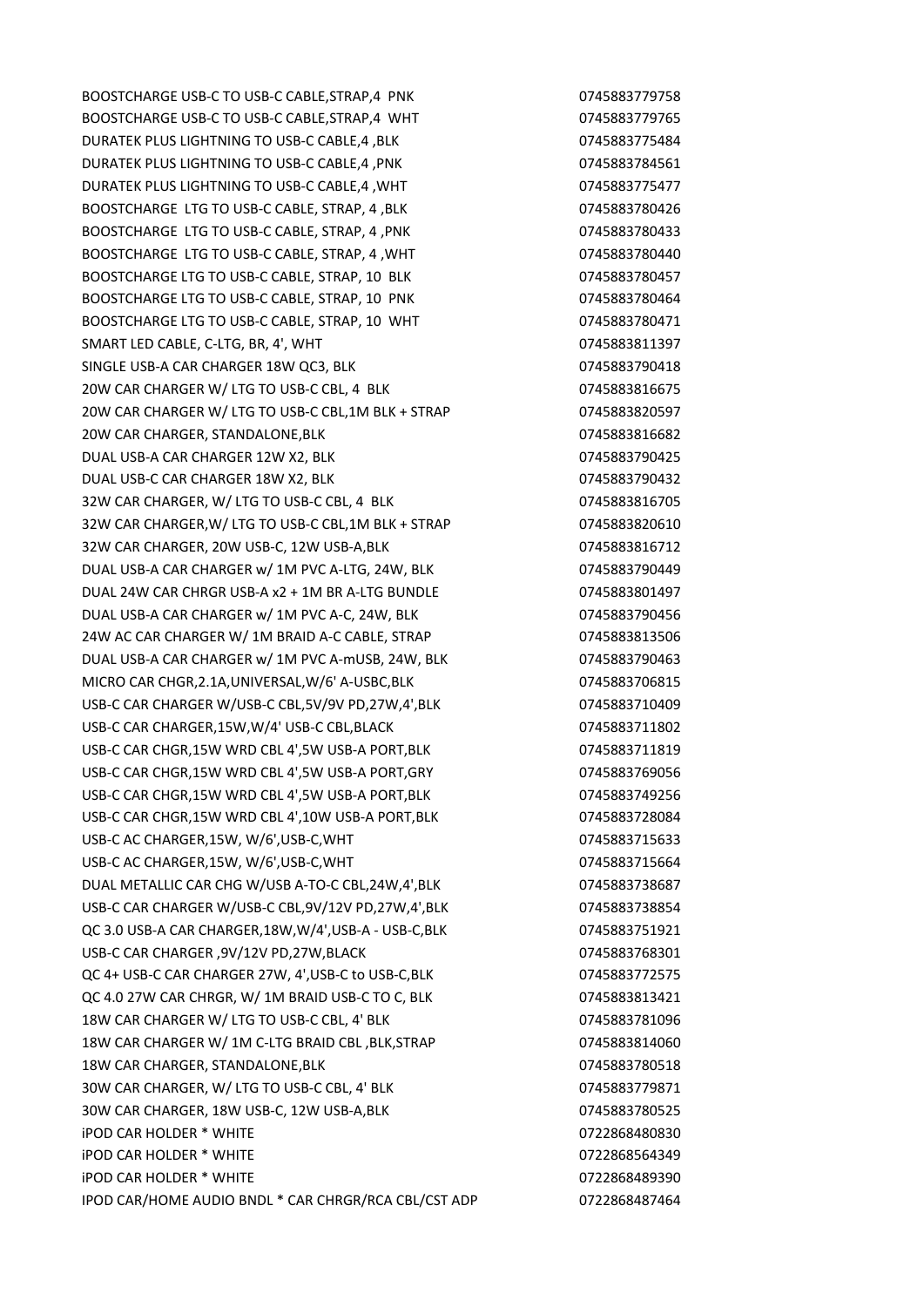BOOSTCHARGE USB-C TO USB-C CABLE, STRAP, 4 PNK 0745883779758 BOOSTCHARGE USB-C TO USB-C CABLE,STRAP,4 WHT 0745883779765 DURATEK PLUS LIGHTNING TO USB-C CABLE, 4, BLK 0745883775484 DURATEK PLUS LIGHTNING TO USB-C CABLE,4, PNK 0745883784561 DURATEK PLUS LIGHTNING TO USB-C CABLE,4 ,WHT 0745883775477 BOOSTCHARGE LTG TO USB-C CABLE, STRAP, 4, BLK 0745883780426 BOOSTCHARGE LTG TO USB-C CABLE, STRAP, 4 , PNK 0745883780433 BOOSTCHARGE LTG TO USB-C CABLE, STRAP, 4, WHT 0745883780440 BOOSTCHARGE LTG TO USB-C CABLE, STRAP, 10 BLK 0745883780457 BOOSTCHARGE LTG TO USB-C CABLE, STRAP, 10 PNK 0745883780464 BOOSTCHARGE LTG TO USB-C CABLE, STRAP, 10 WHT 0745883780471 SMART LED CABLE, C-LTG, BR, 4', WHT 0745883811397 SINGLE USB-A CAR CHARGER 18W QC3, BLK 0745883790418 20W CAR CHARGER W/ LTG TO USB-C CBL, 4 BLK 0745883816675 20W CAR CHARGER W/ LTG TO USB-C CBL,1M BLK + STRAP 0745883820597 20W CAR CHARGER, STANDALONE, BLK
20W CAR CHARGER, STANDALONE, BLK
20W CAR CHARGER, STANDALONE, BLK
20W CAR
20W CAR
20W CAR
20W CAR
20W CAR
20W CAR
20W CAR
20W CAR
20W CAR
20W CAR
20W CAR
20W CAR
20W CAR
20W CAR
20W CAR
20W DUAL USB-A CAR CHARGER 12W X2, BLK 0745883790425 DUAL USB-C CAR CHARGER 18W X2, BLK 0745883790432 32W CAR CHARGER, W/ LTG TO USB-C CBL, 4 BLK 0745883816705 32W CAR CHARGER,W/ LTG TO USB-C CBL,1M BLK + STRAP 0745883820610 32W CAR CHARGER, 20W USB-C, 12W USB-A,BLK 0745883816712 DUAL USB-A CAR CHARGER w/ 1M PVC A-LTG, 24W, BLK 0745883790449 DUAL 24W CAR CHRGR USB-A x2 + 1M BR A-LTG BUNDLE 0745883801497 DUAL USB-A CAR CHARGER w/ 1M PVC A-C, 24W, BLK 0745883790456 24W AC CAR CHARGER W/ 1M BRAID A-C CABLE, STRAP 0745883813506 DUAL USB-A CAR CHARGER w/ 1M PVC A-mUSB, 24W, BLK 0745883790463 MICRO CAR CHGR,2.1A,UNIVERSAL,W/6' A-USBC,BLK 0745883706815 USB-C CAR CHARGER W/USB-C CBL,5V/9V PD,27W,4',BLK 0745883710409 USB-C CAR CHARGER,15W, W/4' USB-C CBL, BLACK 0745883711802 USB-C CAR CHGR,15W WRD CBL 4',5W USB-A PORT,BLK 0745883711819 USB-C CAR CHGR,15W WRD CBL 4',5W USB-A PORT,GRY 0745883769056 USB-C CAR CHGR,15W WRD CBL 4',5W USB-A PORT,BLK 0745883749256 USB-C CAR CHGR,15W WRD CBL 4',10W USB-A PORT,BLK 0745883728084 USB-C AC CHARGER,15W, W/6',USB-C,WHT 0745883715633 USB-C AC CHARGER,15W, W/6',USB-C,WHT 0745883715664 DUAL METALLIC CAR CHG W/USB A-TO-C CBL,24W,4',BLK 0745883738687 USB-C CAR CHARGER W/USB-C CBL,9V/12V PD,27W,4',BLK 0745883738854 QC 3.0 USB-A CAR CHARGER,18W,W/4',USB-A - USB-C,BLK 0745883751921 USB-C CAR CHARGER ,9V/12V PD,27W,BLACK 0745883768301 QC 4+ USB-C CAR CHARGER 27W, 4',USB-C to USB-C,BLK 0745883772575 QC 4.0 27W CAR CHRGR, W/ 1M BRAID USB-C TO C, BLK 0745883813421 18W CAR CHARGER W/ LTG TO USB-C CBL, 4' BLK 0745883781096 18W CAR CHARGER W/ 1M C-LTG BRAID CBL ,BLK,STRAP 0745883814060 18W CAR CHARGER, STANDALONE,BLK 0745883780518 30W CAR CHARGER, W/ LTG TO USB-C CBL, 4' BLK 0745883779871 30W CAR CHARGER, 18W USB-C, 12W USB-A,BLK 0745883780525 iPOD CAR HOLDER \* WHITE 0722868480830 iPOD CAR HOLDER \* WHITE 0722868564349 iPOD CAR HOLDER \* WHITE 0722868489390 IPOD CAR/HOME AUDIO BNDL \* CAR CHRGR/RCA CBL/CST ADP 0722868487464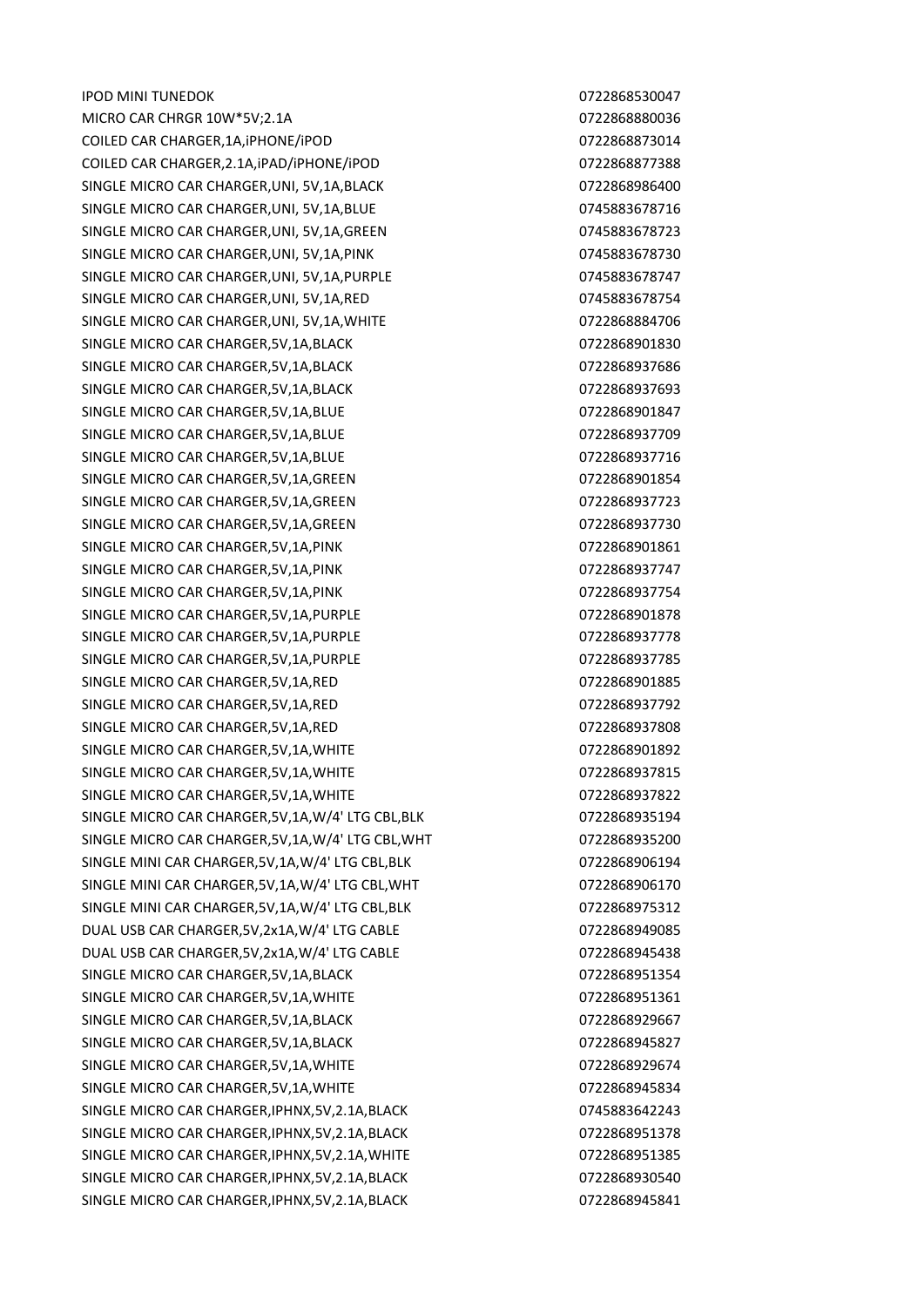IPOD MINI TUNEDOK 0722868530047 MICRO CAR CHRGR 10W\*5V;2.1A 0722868880036 COILED CAR CHARGER,1A,iPHONE/iPOD 0722868873014 COILED CAR CHARGER,2.1A,iPAD/iPHONE/iPOD 0722868877388 SINGLE MICRO CAR CHARGER, UNI, 5V, 1A, BLACK 0722868986400 SINGLE MICRO CAR CHARGER, UNI, 5V, 1A, BLUE 0745883678716 SINGLE MICRO CAR CHARGER, UNI, 5V, 1A, GREEN 0745883678723 SINGLE MICRO CAR CHARGER, UNI, 5V, 1A, PINK 0745883678730 SINGLE MICRO CAR CHARGER, UNI, 5V, 1A, PURPLE 0745883678747 SINGLE MICRO CAR CHARGER,UNI, 5V,1A,RED 0745883678754 SINGLE MICRO CAR CHARGER, UNI, 5V, 1A, WHITE 0722868884706 SINGLE MICRO CAR CHARGER,5V,1A,BLACK 0722868901830 SINGLE MICRO CAR CHARGER, 5V, 1A, BLACK 0722868937686 SINGLE MICRO CAR CHARGER, 5V, 1A, BLACK 0722868937693 SINGLE MICRO CAR CHARGER, 5V, 1A, BLUE 0722868901847 SINGLE MICRO CAR CHARGER, 5V, 1A, BLUE 0722868937709 SINGLE MICRO CAR CHARGER, 5V, 1A, BLUE 0722868937716 SINGLE MICRO CAR CHARGER, 5V, 1A, GREEN 0722868901854 SINGLE MICRO CAR CHARGER, 5V, 1A, GREEN 0722868937723 SINGLE MICRO CAR CHARGER, 5V, 1A, GREEN 0722868937730 SINGLE MICRO CAR CHARGER, 5V, 1A, PINK 0722868901861 SINGLE MICRO CAR CHARGER, 5V, 1A, PINK 0722868937747 SINGLE MICRO CAR CHARGER, 5V, 1A, PINK 0722868937754 SINGLE MICRO CAR CHARGER, 5V, 1A, PURPLE 0722868901878 SINGLE MICRO CAR CHARGER, 5V, 1A, PURPLE 0722868937778 SINGLE MICRO CAR CHARGER, 5V, 1A, PURPLE 0722868937785 SINGLE MICRO CAR CHARGER, 5V, 1A, RED 0722868901885 SINGLE MICRO CAR CHARGER,5V,1A,RED 0722868937792 SINGLE MICRO CAR CHARGER,5V,1A,RED 0722868937808 SINGLE MICRO CAR CHARGER, 5V, 1A, WHITE 0722868901892 SINGLE MICRO CAR CHARGER, 5V, 1A, WHITE 0722868937815 SINGLE MICRO CAR CHARGER, 5V, 1A, WHITE 0722868937822 SINGLE MICRO CAR CHARGER, 5V, 1A, W/4' LTG CBL, BLK 0722868935194 SINGLE MICRO CAR CHARGER,5V,1A,W/4' LTG CBL,WHT 0722868935200 SINGLE MINI CAR CHARGER, 5V, 1A, W/4' LTG CBL, BLK 0722868906194 SINGLE MINI CAR CHARGER,5V,1A,W/4' LTG CBL,WHT 0722868906170 SINGLE MINI CAR CHARGER,5V,1A,W/4' LTG CBL,BLK 0722868975312 DUAL USB CAR CHARGER,5V,2x1A,W/4' LTG CABLE 0722868949085 DUAL USB CAR CHARGER,5V,2x1A,W/4' LTG CABLE 0722868945438 SINGLE MICRO CAR CHARGER, 5V, 1A, BLACK 0722868951354 SINGLE MICRO CAR CHARGER, 5V, 1A, WHITE 0722868951361 SINGLE MICRO CAR CHARGER, 5V, 1A, BLACK 0722868929667 SINGLE MICRO CAR CHARGER, 5V, 1A, BLACK 0722868945827 SINGLE MICRO CAR CHARGER, 5V, 1A, WHITE 0722868929674 SINGLE MICRO CAR CHARGER, 5V, 1A, WHITE 0722868945834 SINGLE MICRO CAR CHARGER,IPHNX,5V,2.1A,BLACK 0745883642243 SINGLE MICRO CAR CHARGER, IPHNX, 5V, 2.1A, BLACK 0722868951378 SINGLE MICRO CAR CHARGER, IPHNX, 5V, 2.1A, WHITE 0722868951385 SINGLE MICRO CAR CHARGER, IPHNX, 5V, 2.1A, BLACK 0722868930540 SINGLE MICRO CAR CHARGER, IPHNX, 5V, 2.1A, BLACK 0722868945841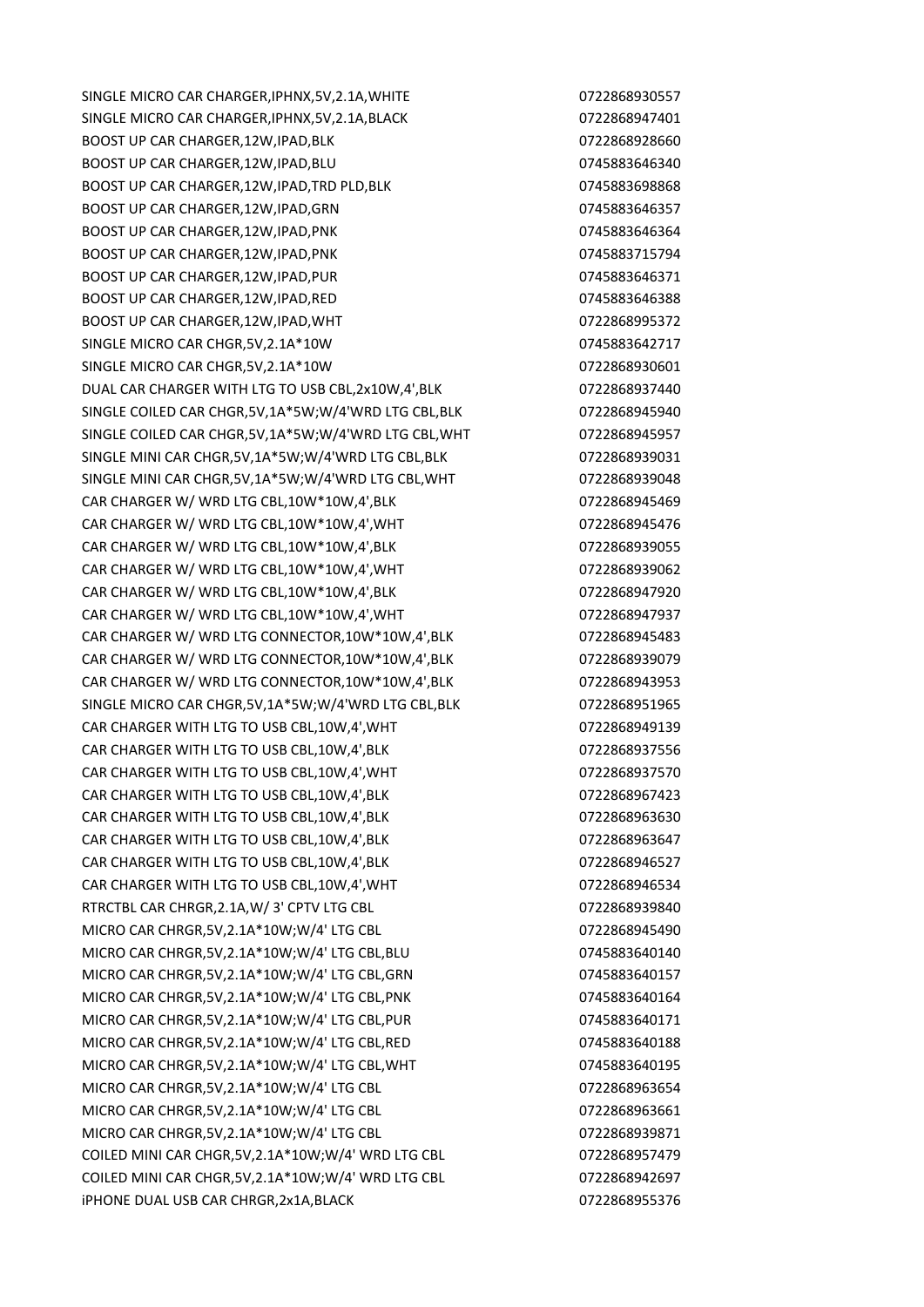SINGLE MICRO CAR CHARGER, JPHNX, 5V, 2.1A, WHITE 0722868930557 SINGLE MICRO CAR CHARGER.IPHNX.5V.2.1A.BLACK 0722868947401 BOOST UP CAR CHARGER,12W,IPAD,BLK 0722868928660 BOOST UP CAR CHARGER, 12W, IPAD, BLU 0745883646340 BOOST UP CAR CHARGER.12W,IPAD,TRD PLD,BLK 0745883698868868 BOOST UP CAR CHARGER,12W,IPAD,GRN 0745883646357 BOOST UP CAR CHARGER, 12W, IPAD, PNK 0745883646364 BOOST UP CAR CHARGER.12W,IPAD,PNK 0745883715794 BOOST UP CAR CHARGER,12W,IPAD,PUR 0745883646371 BOOST UP CAR CHARGER,12W,IPAD,RED 0745883646388 BOOST UP CAR CHARGER, 12W, IPAD, WHT 0722868995372 SINGLE MICRO CAR CHGR,5V,2.1A\*10W 0745883642717 SINGLE MICRO CAR CHGR,5V,2.1A\*10W 0722868930601 DUAL CAR CHARGER WITH LTG TO USB CBL, 2x10W, 4', BLK 0722868937440 SINGLE COILED CAR CHGR,5V,1A\*5W;W/4'WRD LTG CBL,BLK 0722868945940 SINGLE COILED CAR CHGR,5V,1A\*5W;W/4'WRD LTG CBL,WHT 0722868945957 SINGLE MINI CAR CHGR,5V,1A\*5W;W/4'WRD LTG CBL,BLK 0722868939031 SINGLE MINI CAR CHGR,5V,1A\*5W;W/4'WRD LTG CBL,WHT 0722868939048 CAR CHARGER W/ WRD LTG CBL,10W\*10W,4',BLK 0722868945469 CAR CHARGER W/ WRD LTG CBL,10W\*10W,4',WHT 0722868945476 CAR CHARGER W/ WRD LTG CBL,10W\*10W,4',BLK 0722868939055 CAR CHARGER W/ WRD LTG CBL,10W\*10W,4',WHT 0722868939062 CAR CHARGER W/ WRD LTG CBL,10W\*10W,4',BLK 0722868947920 CAR CHARGER W/ WRD LTG CBL,10W\*10W,4',WHT 0722868947937 CAR CHARGER W/ WRD LTG CONNECTOR,10W\*10W,4',BLK 0722868945483 CAR CHARGER W/ WRD LTG CONNECTOR,10W\*10W,4',BLK 0722868939079 CAR CHARGER W/ WRD LTG CONNECTOR,10W\*10W,4',BLK 0722868943953 SINGLE MICRO CAR CHGR,5V,1A\*5W;W/4'WRD LTG CBL,BLK 0722868951965 CAR CHARGER WITH LTG TO USB CBL,10W,4',WHT 0722868949139 CAR CHARGER WITH LTG TO USB CBL,10W,4',BLK 0722868937556 CAR CHARGER WITH LTG TO USB CBL,10W,4',WHT 0722868937570 CAR CHARGER WITH LTG TO USB CBL,10W,4',BLK 0722868967423 CAR CHARGER WITH LTG TO USB CBL,10W,4',BLK 0722868963630 CAR CHARGER WITH LTG TO USB CBL,10W,4',BLK 0722868963647 CAR CHARGER WITH LTG TO USB CBL.10W.4'.BLK 0722868946527 CAR CHARGER WITH LTG TO USB CBL,10W,4',WHT 0722868946534 RTRCTBL CAR CHRGR,2.1A,W/ 3' CPTV LTG CBL 0722868939840 MICRO CAR CHRGR,5V,2.1A\*10W;W/4' LTG CBL 0722868945490 MICRO CAR CHRGR,5V,2.1A\*10W;W/4' LTG CBL,BLU 0745883640140 MICRO CAR CHRGR,5V,2.1A\*10W;W/4' LTG CBL,GRN 0745883640157 MICRO CAR CHRGR,5V,2.1A\*10W;W/4' LTG CBL,PNK 0745883640164 MICRO CAR CHRGR,5V,2.1A\*10W;W/4' LTG CBL,PUR 0745883640171 MICRO CAR CHRGR,5V,2.1A\*10W;W/4' LTG CBL,RED 0745883640188 MICRO CAR CHRGR,5V,2.1A\*10W;W/4' LTG CBL,WHT 0745883640195 MICRO CAR CHRGR,5V,2.1A\*10W;W/4' LTG CBL 0722868963654 MICRO CAR CHRGR,5V,2.1A\*10W;W/4' LTG CBL 0722868963661 MICRO CAR CHRGR,5V,2.1A\*10W;W/4' LTG CBL 0722868939871 COILED MINI CAR CHGR,5V,2.1A\*10W;W/4' WRD LTG CBL 0722868957479 COILED MINI CAR CHGR,5V,2.1A\*10W;W/4' WRD LTG CBL 0722868942697 iPHONE DUAL USB CAR CHRGR,2x1A,BLACK 0722868955376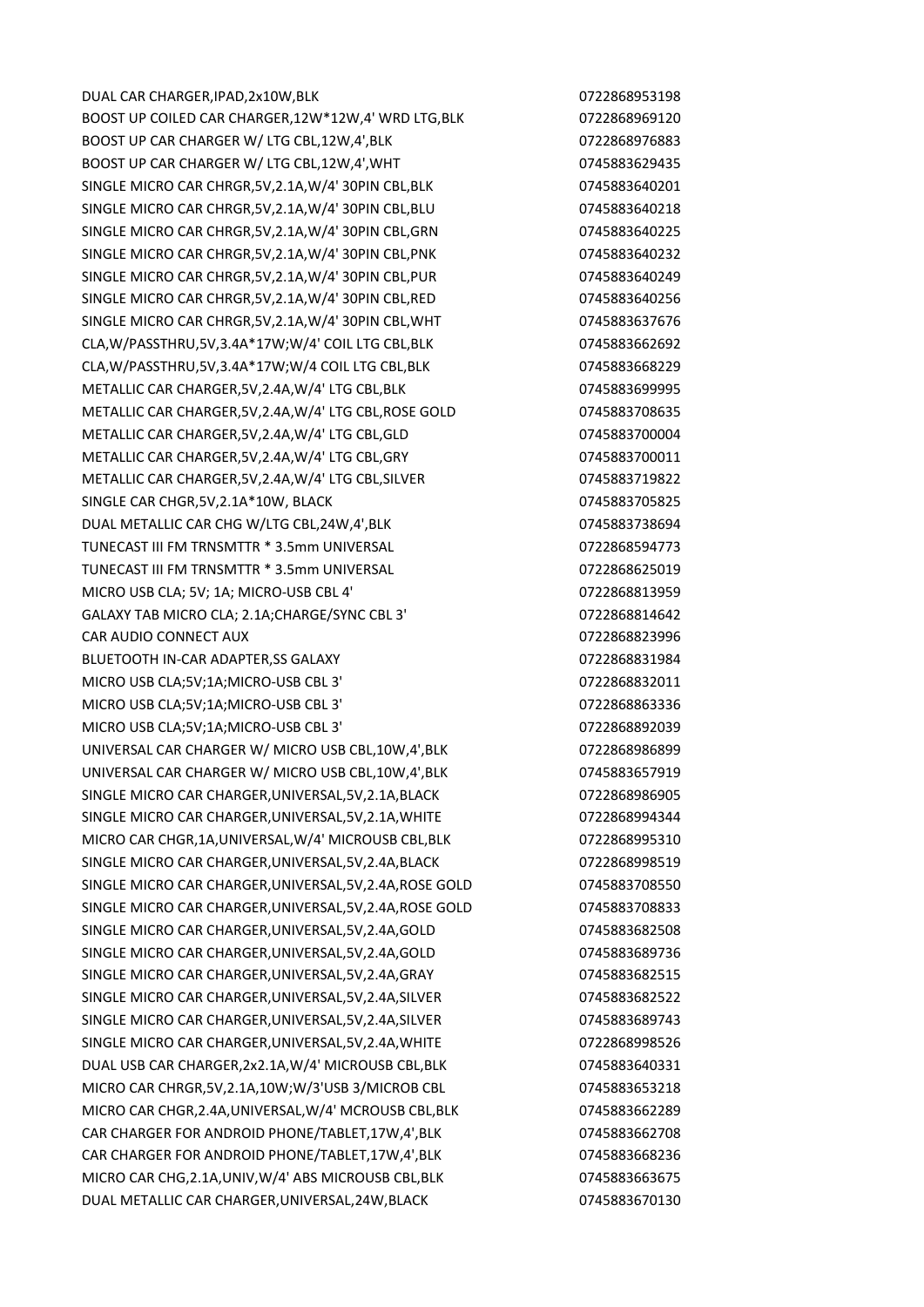DUAL CAR CHARGER,IPAD,2x10W,BLK 0722868953198 BOOST UP COILED CAR CHARGER,12W\*12W,4' WRD LTG,BLK 0722868969120 BOOST UP CAR CHARGER W/ LTG CBL,12W,4',BLK 0722868976883 BOOST UP CAR CHARGER W/ LTG CBL,12W,4',WHT 0745883629435 SINGLE MICRO CAR CHRGR,5V,2.1A,W/4' 30PIN CBL,BLK 0745883640201 SINGLE MICRO CAR CHRGR,5V,2.1A,W/4' 30PIN CBL,BLU 0745883640218 SINGLE MICRO CAR CHRGR,5V,2.1A,W/4' 30PIN CBL,GRN 0745883640225 SINGLE MICRO CAR CHRGR,5V,2.1A,W/4' 30PIN CBL,PNK 0745883640232 SINGLE MICRO CAR CHRGR,5V,2.1A,W/4' 30PIN CBL,PUR 0745883640249 SINGLE MICRO CAR CHRGR,5V,2.1A,W/4' 30PIN CBL,RED 0745883640256 SINGLE MICRO CAR CHRGR,5V,2.1A,W/4' 30PIN CBL,WHT 0745883637676 CLA,W/PASSTHRU,5V,3.4A\*17W;W/4' COIL LTG CBL,BLK 0745883662692 CLA,W/PASSTHRU,5V,3.4A\*17W;W/4 COIL LTG CBL,BLK 0745883668229 METALLIC CAR CHARGER,5V,2.4A,W/4' LTG CBL,BLK 0745883699995 METALLIC CAR CHARGER,5V,2.4A,W/4' LTG CBL,ROSE GOLD 0745883708635 METALLIC CAR CHARGER,5V,2.4A,W/4' LTG CBL,GLD 0745883700004 METALLIC CAR CHARGER,5V,2.4A,W/4' LTG CBL,GRY 0745883700011 METALLIC CAR CHARGER, 5V, 2.4A, W/4' LTG CBL, SILVER 0745883719822 SINGLE CAR CHGR,5V,2.1A\*10W, BLACK 0745883705825 DUAL METALLIC CAR CHG W/LTG CBL, 24W, 4', BLK 0745883738694 TUNECAST III FM TRNSMTTR \* 3.5mm UNIVERSAL 0722868594773 TUNECAST III FM TRNSMTTR \* 3.5mm UNIVERSAL 0722868625019 MICRO USB CLA; 5V; 1A; MICRO-USB CBL 4' 0722868813959 GALAXY TAB MICRO CLA: 2.1A:CHARGE/SYNC CBL 3' 0722868814642 CAR AUDIO CONNECT AUX 0722868823996 BLUETOOTH IN-CAR ADAPTER, SGALAXY **CONTRACTED ASSESS** 1984 MICRO USB CLA;5V;1A;MICRO-USB CBL 3' 0722868832011 MICRO USB CLA;5V;1A;MICRO-USB CBL 3' 0722868863336 MICRO USB CLA;5V;1A;MICRO-USB CBL 3' 0722868892039 UNIVERSAL CAR CHARGER W/ MICRO USB CBL,10W,4',BLK 0722868986899 UNIVERSAL CAR CHARGER W/ MICRO USB CBL,10W,4',BLK 0745883657919 SINGLE MICRO CAR CHARGER, UNIVERSAL, 5V, 2.1A, BLACK 0722868986905 SINGLE MICRO CAR CHARGER, UNIVERSAL, 5V, 2.1A, WHITE 0722868994344 MICRO CAR CHGR,1A,UNIVERSAL,W/4' MICROUSB CBL,BLK 0722868995310 SINGLE MICRO CAR CHARGER, UNIVERSAL, 5V, 2.4A, BLACK 07 0722868998519 SINGLE MICRO CAR CHARGER,UNIVERSAL,5V,2.4A,ROSE GOLD 0745883708550 SINGLE MICRO CAR CHARGER,UNIVERSAL,5V,2.4A,ROSE GOLD 0745883708833 SINGLE MICRO CAR CHARGER,UNIVERSAL,5V,2.4A,GOLD 0745883682508 SINGLE MICRO CAR CHARGER, UNIVERSAL, 5V, 2.4A, GOLD 0745883689736 SINGLE MICRO CAR CHARGER, UNIVERSAL, 5V, 2.4A, GRAY 0745883682515 SINGLE MICRO CAR CHARGER, UNIVERSAL, 5V, 2.4A, SILVER 0745883682522 SINGLE MICRO CAR CHARGER, UNIVERSAL, 5V, 2.4A, SILVER 0745883689743 SINGLE MICRO CAR CHARGER, UNIVERSAL, 5V, 2.4A, WHITE 0722868998526 DUAL USB CAR CHARGER,2x2.1A,W/4' MICROUSB CBL,BLK 0745883640331 MICRO CAR CHRGR,5V,2.1A,10W;W/3'USB 3/MICROB CBL 0745883653218 MICRO CAR CHGR,2.4A,UNIVERSAL,W/4' MCROUSB CBL,BLK 0745883662289 CAR CHARGER FOR ANDROID PHONE/TABLET,17W,4',BLK 0745883662708 CAR CHARGER FOR ANDROID PHONE/TABLET,17W,4',BLK 0745883668236 MICRO CAR CHG,2.1A,UNIV,W/4' ABS MICROUSB CBL,BLK 0745883663675 DUAL METALLIC CAR CHARGER,UNIVERSAL,24W,BLACK 0745883670130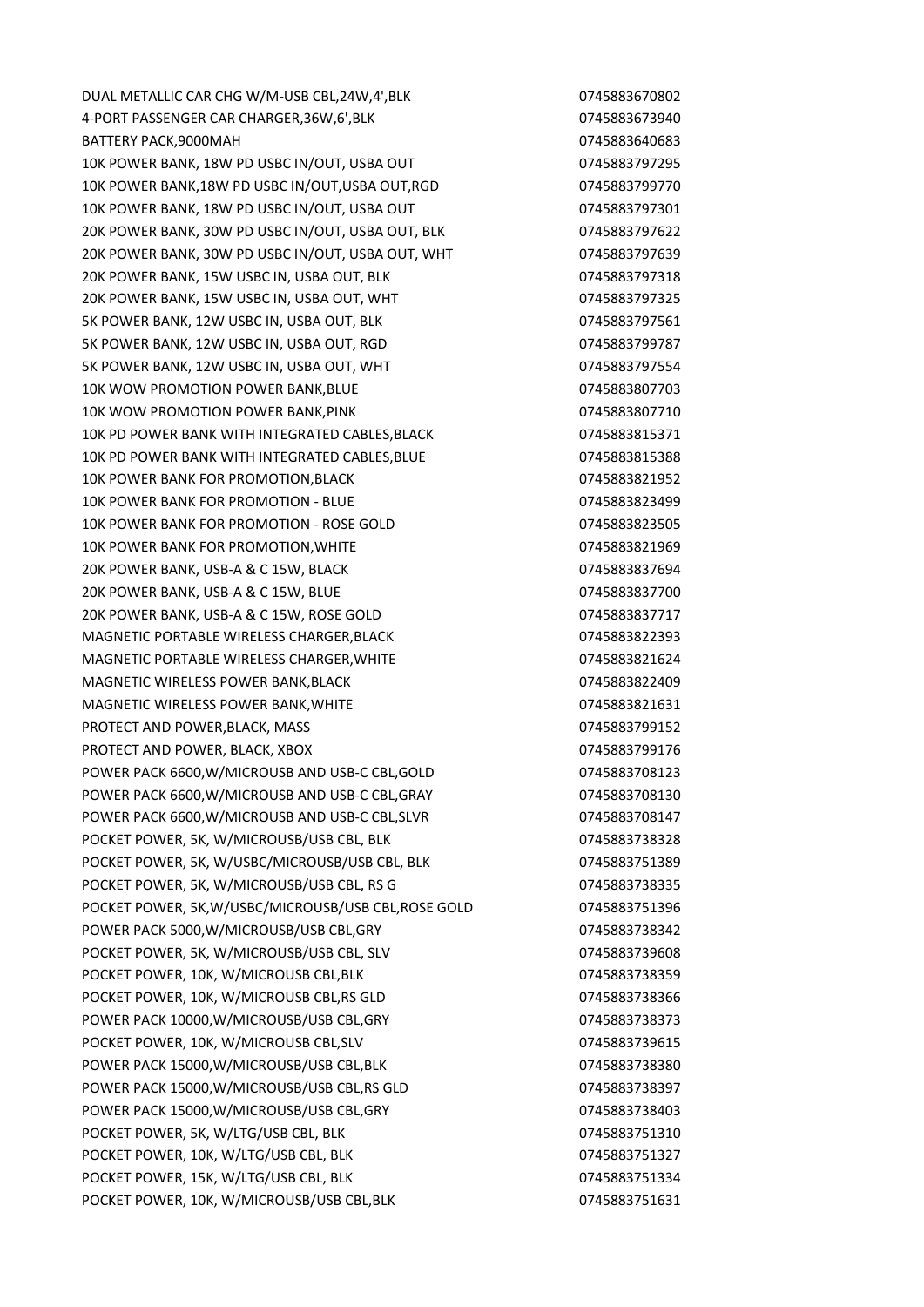DUAL METALLIC CAR CHG W/M-USB CBL,24W,4',BLK 0745883670802 4-PORT PASSENGER CAR CHARGER,36W,6',BLK 0745883673940 BATTERY PACK,9000MAH 0745883640683 10K POWER BANK, 18W PD USBC IN/OUT, USBA OUT 0745883797295 10K POWER BANK,18W PD USBC IN/OUT,USBA OUT,RGD 0745883799770 10K POWER BANK, 18W PD USBC IN/OUT, USBA OUT 0745883797301 20K POWER BANK, 30W PD USBC IN/OUT, USBA OUT, BLK 0745883797622 20K POWER BANK, 30W PD USBC IN/OUT, USBA OUT, WHT 0745883797639 20K POWER BANK, 15W USBC IN, USBA OUT, BLK 0745883797318 20K POWER BANK, 15W USBC IN, USBA OUT, WHT 0745883797325 5K POWER BANK, 12W USBC IN, USBA OUT, BLK 0745883797561 5K POWER BANK, 12W USBC IN, USBA OUT, RGD 0745883799787 5K POWER BANK, 12W USBC IN, USBA OUT, WHT 0745883797554 10K WOW PROMOTION POWER BANK, BLUE **10K WOW PROMOTION** 10K WOW PROMOTION POWER BANK,PINK 0745883807710 10K PD POWER BANK WITH INTEGRATED CABLES,BLACK 0745883815371 10K PD POWER BANK WITH INTEGRATED CABLES,BLUE 0745883815388 10K POWER BANK FOR PROMOTION,BLACK 0745883821952 10K POWER BANK FOR PROMOTION - BLUE 0745883823499 10K POWER BANK FOR PROMOTION - ROSE GOLD 0745883823505 10K POWER BANK FOR PROMOTION. WHITE **10K POWER BANK FOR PROMOTION**, WHITE 20K POWER BANK, USB-A & C 15W, BLACK 0745883837694 20K POWER BANK, USB-A & C 15W, BLUE 0745883837700 20K POWER BANK, USB-A & C 15W, ROSE GOLD 0745883837717 MAGNETIC PORTABLE WIRELESS CHARGER, BLACK **CHARGER** 0745883822393 MAGNETIC PORTABLE WIRELESS CHARGER, WHITE 0745883821624 MAGNETIC WIRELESS POWER BANK, BLACK CONTROL CONTROL CONTROL CONTROL DESCRIPTION OF A 245883822409 MAGNETIC WIRELESS POWER BANK, WHITE **CONSERVANCE CONSERVANCE CONSERVANCE** O745883821631 PROTECT AND POWER, BLACK, MASS 0745883799152 PROTECT AND POWER, BLACK, XBOX 0745883799176 POWER PACK 6600, W/MICROUSB AND USB-C CBL, GOLD 0745883708123 POWER PACK 6600, W/MICROUSB AND USB-C CBL, GRAY 0745883708130 POWER PACK 6600, W/MICROUSB AND USB-C CBL, SLVR 0745883708147 POCKET POWER, 5K, W/MICROUSB/USB CBL, BLK 0745883738328 POCKET POWER, 5K, W/USBC/MICROUSB/USB CBL, BLK 60745883751389 POCKET POWER, 5K, W/MICROUSB/USB CBL, RS G 0745883738335 POCKET POWER, 5K,W/USBC/MICROUSB/USB CBL,ROSE GOLD 0745883751396 POWER PACK 5000, W/MICROUSB/USB CBL, GRY **CHALL CONSTRANT CONTROLS 20145883738342** POCKET POWER, 5K, W/MICROUSB/USB CBL, SLV 0745883739608 POCKET POWER, 10K, W/MICROUSB CBL,BLK 0745883738359 POCKET POWER, 10K, W/MICROUSB CBL,RS GLD 0745883738366 POWER PACK 10000, W/MICROUSB/USB CBL,GRY **CHALL COMPUTER 10000**, W/MICROUSB POCKET POWER, 10K, W/MICROUSB CBL,SLV 0745883739615 POWER PACK 15000,W/MICROUSB/USB CBL,BLK 0745883738380 POWER PACK 15000, W/MICROUSB/USB CBL,RS GLD 0745883738397 POWER PACK 15000,W/MICROUSB/USB CBL,GRY 0745883738403 POCKET POWER, 5K, W/LTG/USB CBL, BLK 0745883751310 POCKET POWER, 10K, W/LTG/USB CBL, BLK 0745883751327 POCKET POWER, 15K, W/LTG/USB CBL, BLK 0745883751334 POCKET POWER, 10K, W/MICROUSB/USB CBL, BLK 0745883751631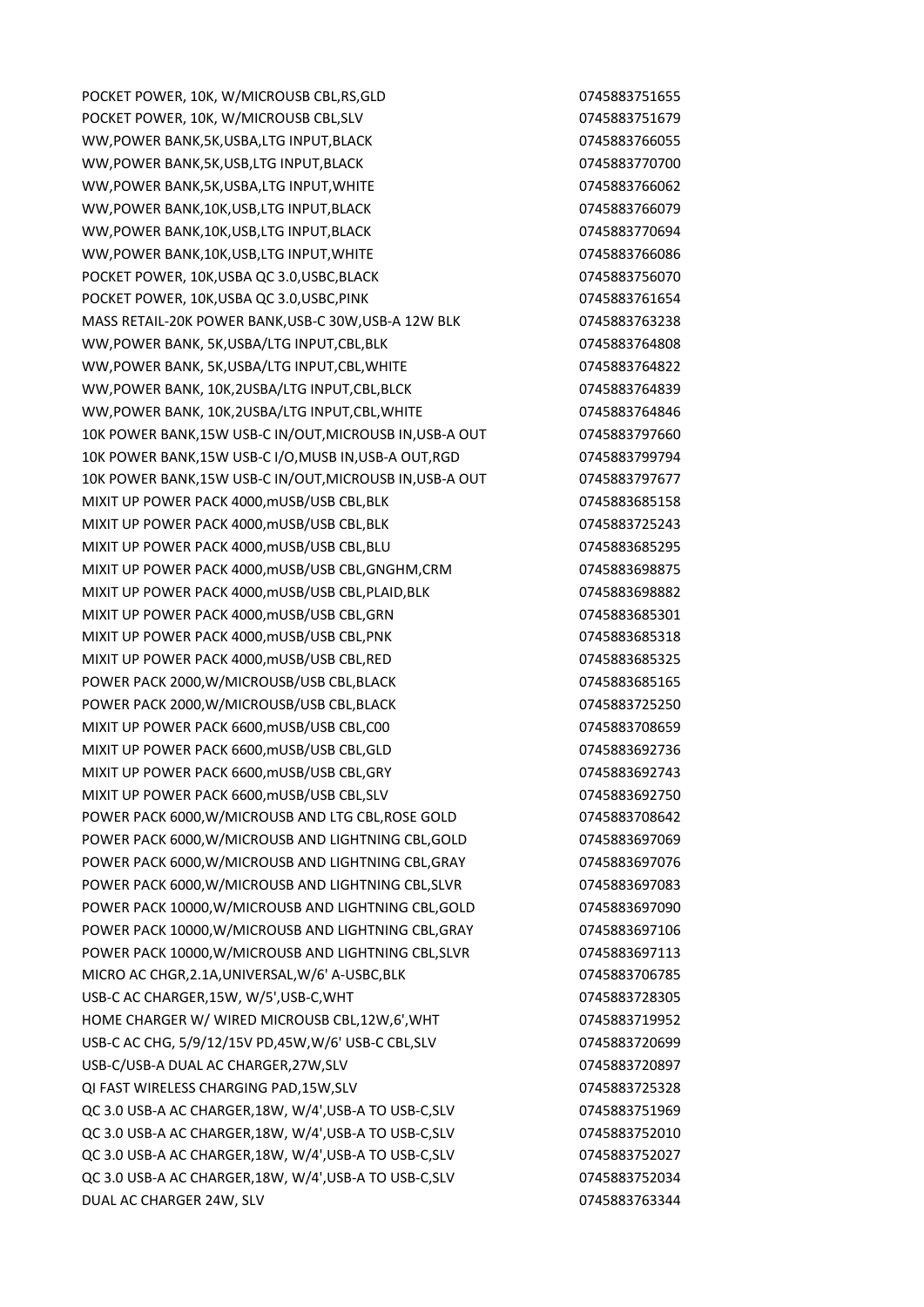POCKET POWER, 10K, W/MICROUSB CBL,RS,GLD 0745883751655 POCKET POWER, 10K, W/MICROUSB CBL, SLV 0745883751679 WW,POWER BANK,5K,USBA,LTG INPUT,BLACK **CHANGE 1889** 0745883766055 WW,POWER BANK,5K,USB,LTG INPUT,BLACK 0745883770700 WW,POWER BANK,5K,USBA,LTG INPUT,WHITE **CHANGE 1889** 0745883766062 WW,POWER BANK,10K,USB,LTG INPUT,BLACK 0745883766079 WW,POWER BANK,10K,USB,LTG INPUT,BLACK **CHANGE 1889** 0745883770694 WW,POWER BANK,10K,USB,LTG INPUT,WHITE 0745883766086 POCKET POWER, 10K, USBA QC 3.0, USBC, BLACK 0745883756070 POCKET POWER, 10K, USBA QC 3.0, USBC, PINK 0745883761654 MASS RETAIL-20K POWER BANK,USB-C 30W,USB-A 12W BLK 0745883763238 WW,POWER BANK, 5K,USBA/LTG INPUT,CBL,BLK 0745883764808 WW.POWER BANK, 5K,USBA/LTG INPUT.CBL,WHITE 0745883764822 WW,POWER BANK, 10K,2USBA/LTG INPUT,CBL,BLCK 0745883764839 WW,POWER BANK, 10K,2USBA/LTG INPUT,CBL,WHITE 0745883764846 10K POWER BANK,15W USB-C IN/OUT,MICROUSB IN,USB-A OUT 0745883797660 10K POWER BANK,15W USB-C I/O,MUSB IN,USB-A OUT,RGD 0745883799794 10K POWER BANK,15W USB-C IN/OUT,MICROUSB IN,USB-A OUT 0745883797677 MIXIT UP POWER PACK 4000, mUSB/USB CBL, BLK 0745883685158 MIXIT UP POWER PACK 4000, mUSB/USB CBL, BLK 0745883725243 MIXIT UP POWER PACK 4000,mUSB/USB CBL,BLU 0745883685295 MIXIT UP POWER PACK 4000,mUSB/USB CBL,GNGHM,CRM 0745883698875 MIXIT UP POWER PACK 4000,mUSB/USB CBL,PLAID,BLK 0745883698882 MIXIT UP POWER PACK 4000.mUSB/USB CBL.GRN 0745883685301 MIXIT UP POWER PACK 4000, mUSB/USB CBL, PNK 0745883685318 MIXIT UP POWER PACK 4000,mUSB/USB CBL,RED 0745883685325 POWER PACK 2000, W/MICROUSB/USB CBL, BLACK **CHACK CONTROLS 2000**, 0745883685165 POWER PACK 2000, W/MICROUSB/USB CBL, BLACK CHANGE 0745883725250 MIXIT UP POWER PACK 6600,mUSB/USB CBL,C00 0745883708659 MIXIT UP POWER PACK 6600,mUSB/USB CBL,GLD 0745883692736 MIXIT UP POWER PACK 6600,mUSB/USB CBL,GRY 0745883692743 MIXIT UP POWER PACK 6600, mUSB/USB CBL, SLV 0745883692750 POWER PACK 6000, W/MICROUSB AND LTG CBL, ROSE GOLD 0745883708642 POWER PACK 6000,W/MICROUSB AND LIGHTNING CBL,GOLD 0745883697069 POWER PACK 6000.W/MICROUSB AND LIGHTNING CBL,GRAY 0745883697076 POWER PACK 6000, W/MICROUSB AND LIGHTNING CBL, SLVR 0745883697083 POWER PACK 10000,W/MICROUSB AND LIGHTNING CBL,GOLD 0745883697090 POWER PACK 10000, W/MICROUSB AND LIGHTNING CBL, GRAY 0745883697106 POWER PACK 10000, W/MICROUSB AND LIGHTNING CBL, SLVR 0745883697113 MICRO AC CHGR,2.1A,UNIVERSAL,W/6' A-USBC,BLK 0745883706785 USB-C AC CHARGER,15W, W/5',USB-C,WHT 0745883728305 HOME CHARGER W/ WIRED MICROUSB CBL,12W,6',WHT 0745883719952 USB-C AC CHG, 5/9/12/15V PD,45W,W/6' USB-C CBL,SLV 0745883720699 USB-C/USB-A DUAL AC CHARGER, 27W, SLV CHARGER, 27W, SLV QI FAST WIRELESS CHARGING PAD,15W,SLV 0745883725328 QC 3.0 USB-A AC CHARGER,18W, W/4',USB-A TO USB-C,SLV 0745883751969 QC 3.0 USB-A AC CHARGER,18W, W/4',USB-A TO USB-C,SLV 0745883752010 QC 3.0 USB-A AC CHARGER,18W, W/4',USB-A TO USB-C,SLV 0745883752027 QC 3.0 USB-A AC CHARGER,18W, W/4',USB-A TO USB-C,SLV 0745883752034 DUAL AC CHARGER 24W, SLV 0745883763344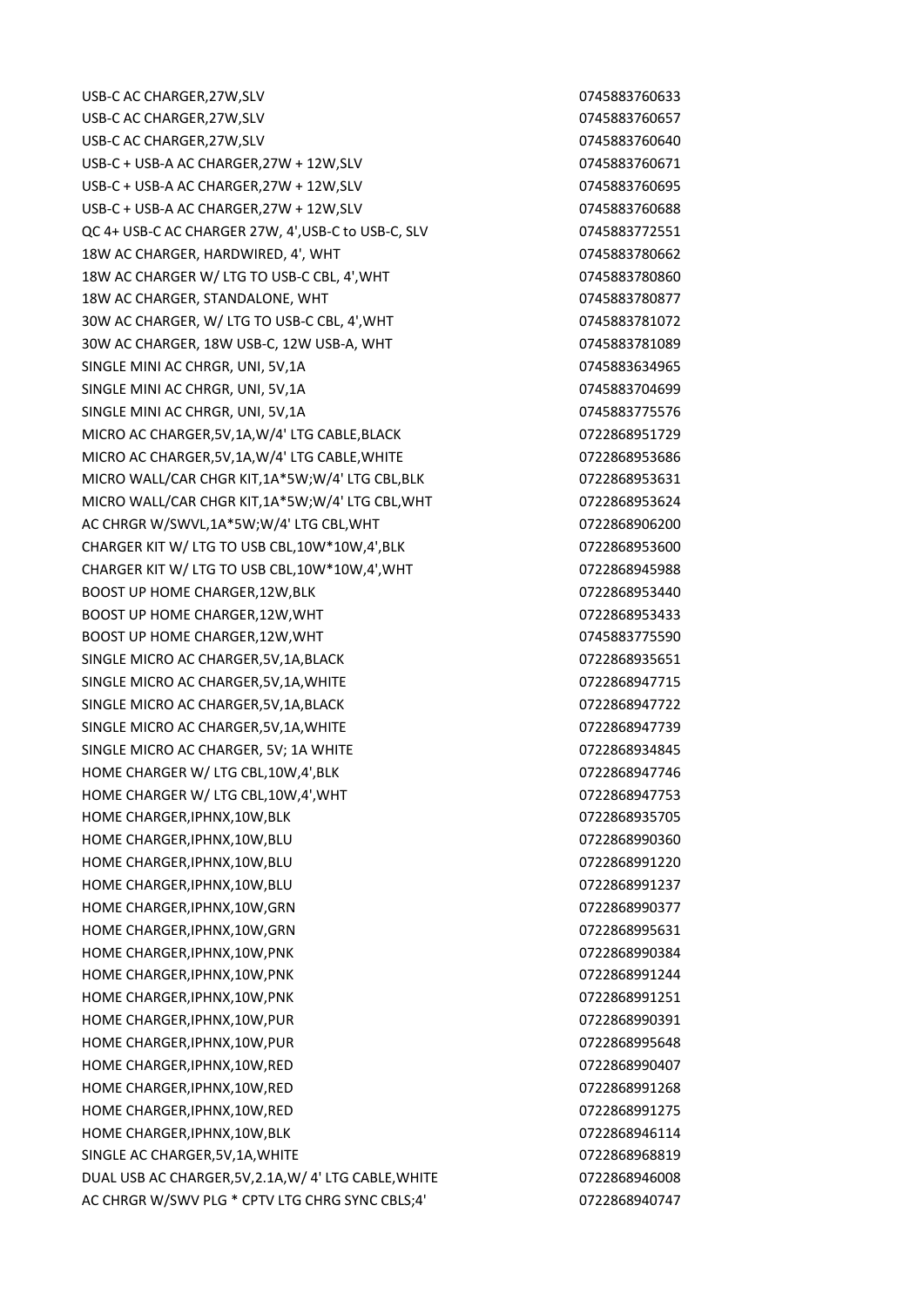USB-C AC CHARGER,27W,SLV 0745883760633 USB-C AC CHARGER,27W,SLV 0745883760657 USB-C AC CHARGER,27W,SLV 0745883760640 USB-C + USB-A AC CHARGER, 27W + 12W, SLV 0745883760671 USB-C + USB-A AC CHARGER,27W + 12W,SLV 0745883760695 USB-C + USB-A AC CHARGER,27W + 12W,SLV 0745883760688 QC 4+ USB-C AC CHARGER 27W, 4',USB-C to USB-C, SLV 0745883772551 18W AC CHARGER, HARDWIRED, 4', WHT 0745883780662 18W AC CHARGER W/ LTG TO USB-C CBL, 4',WHT 0745883780860 18W AC CHARGER, STANDALONE, WHT 0745883780877 30W AC CHARGER, W/ LTG TO USB-C CBL, 4',WHT 0745883781072 30W AC CHARGER, 18W USB-C, 12W USB-A, WHT 0745883781089 SINGLE MINI AC CHRGR, UNI, 5V,1A 0745883634965 SINGLE MINI AC CHRGR, UNI, 5V,1A 0745883704699 SINGLE MINI AC CHRGR, UNI, 5V,1A 0745883775576 MICRO AC CHARGER,5V,1A,W/4' LTG CABLE,BLACK 0722868951729 MICRO AC CHARGER,5V,1A,W/4' LTG CABLE,WHITE 0722868953686 MICRO WALL/CAR CHGR KIT,1A\*5W;W/4' LTG CBL,BLK 0722868953631 MICRO WALL/CAR CHGR KIT,1A\*5W;W/4' LTG CBL,WHT 0722868953624 AC CHRGR W/SWVL,1A\*5W;W/4' LTG CBL,WHT 0722868906200 CHARGER KIT W/ LTG TO USB CBL,10W\*10W,4',BLK 0722868953600 CHARGER KIT W/ LTG TO USB CBL,10W\*10W,4',WHT 0722868945988 BOOST UP HOME CHARGER, 12W, BLK 0722868953440 BOOST UP HOME CHARGER,12W,WHT 0722868953433 BOOST UP HOME CHARGER,12W, WHT 0745883775590 SINGLE MICRO AC CHARGER, 5V, 1A, BLACK **CHARGER, 5V, 1A, BLACK** 0722868935651 SINGLE MICRO AC CHARGER, 5V, 1A, WHITE 0722868947715 SINGLE MICRO AC CHARGER, 5V, 1A, BLACK 0722868947722 SINGLE MICRO AC CHARGER, 5V, 1A, WHITE 0722868947739 SINGLE MICRO AC CHARGER, 5V; 1A WHITE 0722868934845 HOME CHARGER W/ LTG CBL,10W,4',BLK 0722868947746 HOME CHARGER W/ LTG CBL,10W,4',WHT 0722868947753 HOME CHARGER,IPHNX,10W,BLK 0722868935705 HOME CHARGER,IPHNX,10W,BLU 0722868990360 HOME CHARGER,IPHNX,10W,BLU 0722868991220 HOME CHARGER,IPHNX,10W,BLU 0722868991237 HOME CHARGER,IPHNX,10W,GRN 0722868990377 HOME CHARGER,IPHNX,10W,GRN 0722868995631 HOME CHARGER,IPHNX,10W,PNK 0722868990384 HOME CHARGER,IPHNX,10W,PNK 0722868991244 HOME CHARGER,IPHNX,10W,PNK 0722868991251 HOME CHARGER,IPHNX,10W,PUR 0722868990391 HOME CHARGER,IPHNX,10W,PUR 0722868995648 HOME CHARGER,IPHNX,10W,RED 0722868990407 HOME CHARGER,IPHNX,10W,RED 0722868991268 HOME CHARGER,IPHNX,10W,RED 0722868991275 HOME CHARGER,IPHNX,10W,BLK 0722868946114 SINGLE AC CHARGER, 5V, 1A, WHITE 0722868968819 DUAL USB AC CHARGER, 5V, 2.1A, W/ 4' LTG CABLE, WHITE 0722868946008 AC CHRGR W/SWV PLG \* CPTV LTG CHRG SYNC CBLS;4' 0722868940747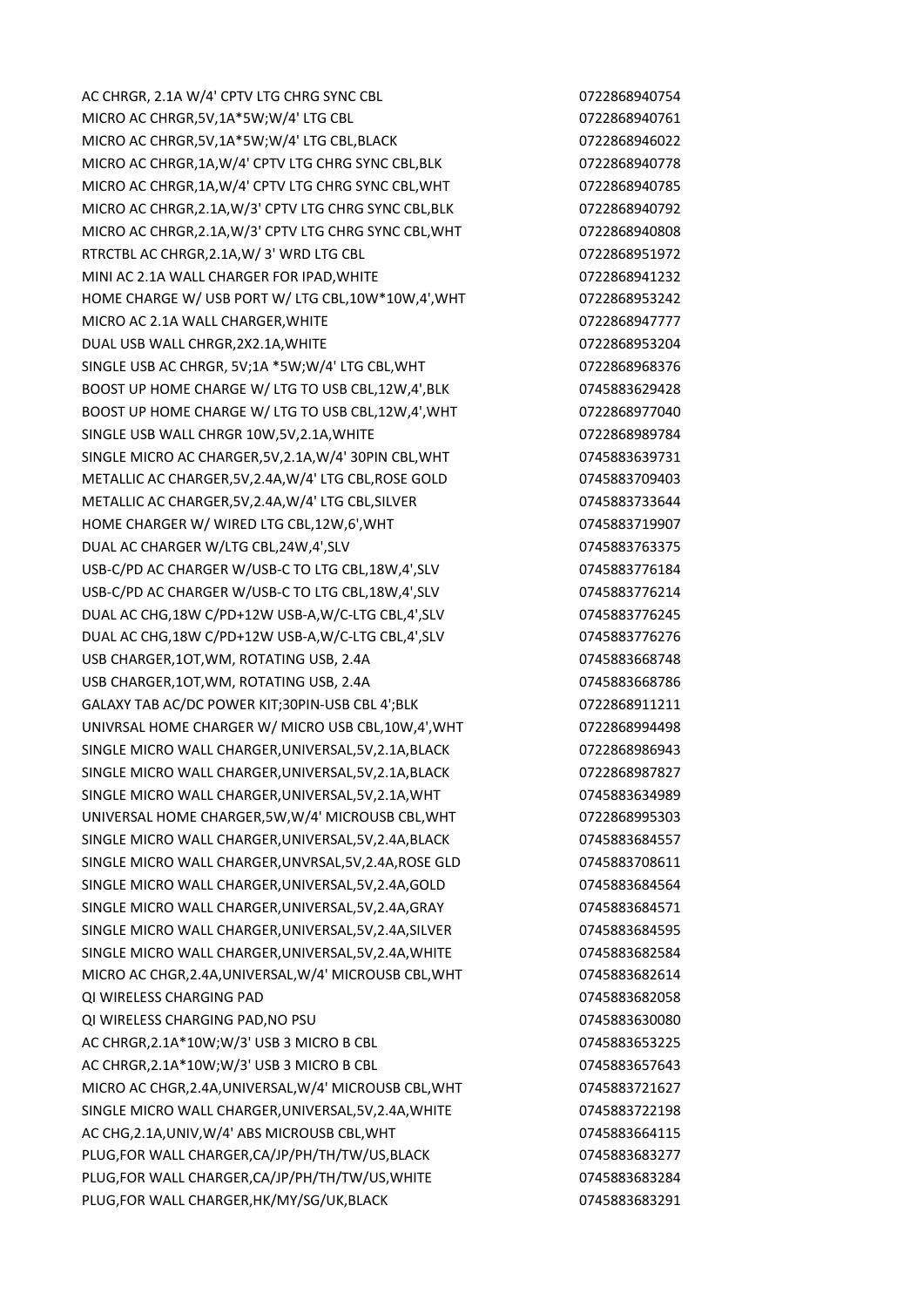AC CHRGR, 2.1A W/4' CPTV LTG CHRG SYNC CBL 0722868940754 MICRO AC CHRGR.5V.1A\*5W;W/4' LTG CBL 0722868940761 MICRO AC CHRGR,5V,1A\*5W;W/4' LTG CBL,BLACK 0722868946022 MICRO AC CHRGR,1A,W/4' CPTV LTG CHRG SYNC CBL,BLK 0722868940778 MICRO AC CHRGR,1A,W/4' CPTV LTG CHRG SYNC CBL,WHT 0722868940785 MICRO AC CHRGR,2.1A,W/3' CPTV LTG CHRG SYNC CBL,BLK 0722868940792 MICRO AC CHRGR,2.1A,W/3' CPTV LTG CHRG SYNC CBL,WHT 0722868940808 RTRCTBL AC CHRGR.2.1A, W/ 3' WRD LTG CBL 0722868951972 MINI AC 2.1A WALL CHARGER FOR IPAD, WHITE 0722868941232 HOME CHARGE W/ USB PORT W/ LTG CBL,10W\*10W,4',WHT 0722868953242 MICRO AC 2.1A WALL CHARGER, WHITE **CHARGER AC 2.1A WALL CHARGER**, WHITE DUAL USB WALL CHRGR, 2X2.1A, WHITE 0722868953204 SINGLE USB AC CHRGR, 5V;1A \*5W;W/4' LTG CBL,WHT 0722868968376 BOOST UP HOME CHARGE W/ LTG TO USB CBL,12W,4',BLK 0745883629428 BOOST UP HOME CHARGE W/ LTG TO USB CBL,12W,4',WHT 0722868977040 SINGLE USB WALL CHRGR 10W,5V,2.1A, WHITE 0722868989784 SINGLE MICRO AC CHARGER,5V,2.1A,W/4' 30PIN CBL,WHT 0745883639731 METALLIC AC CHARGER,5V,2.4A,W/4' LTG CBL,ROSE GOLD 0745883709403 METALLIC AC CHARGER, 5V, 2.4A, W/4' LTG CBL, SILVER 0745883733644 HOME CHARGER W/ WIRED LTG CBL,12W,6',WHT 0745883719907 DUAL AC CHARGER W/LTG CBL,24W,4',SLV 0745883763375 USB-C/PD AC CHARGER W/USB-C TO LTG CBL,18W,4',SLV 0745883776184 USB-C/PD AC CHARGER W/USB-C TO LTG CBL,18W,4',SLV 0745883776214 DUAL AC CHG,18W C/PD+12W USB-A,W/C-LTG CBL,4',SLV 0745883776245 DUAL AC CHG,18W C/PD+12W USB-A,W/C-LTG CBL,4',SLV 0745883776276 USB CHARGER,1OT, WM, ROTATING USB, 2.4A 0745883668748 USB CHARGER,1OT,WM, ROTATING USB, 2.4A 0745883668786 GALAXY TAB AC/DC POWER KIT;30PIN-USB CBL 4';BLK 0722868911211 UNIVRSAL HOME CHARGER W/ MICRO USB CBL,10W,4',WHT 0722868994498 SINGLE MICRO WALL CHARGER, UNIVERSAL, 5V, 2.1A, BLACK 0722868986943 SINGLE MICRO WALL CHARGER, UNIVERSAL, 5V, 2.1A, BLACK 0722868987827 SINGLE MICRO WALL CHARGER,UNIVERSAL,5V,2.1A,WHT 0745883634989 UNIVERSAL HOME CHARGER,5W,W/4' MICROUSB CBL,WHT 0722868995303 SINGLE MICRO WALL CHARGER, UNIVERSAL, 5V, 2.4A, BLACK 0745883684557 SINGLE MICRO WALL CHARGER,UNVRSAL,5V,2.4A,ROSE GLD 0745883708611 SINGLE MICRO WALL CHARGER,UNIVERSAL,5V,2.4A,GOLD 0745883684564 SINGLE MICRO WALL CHARGER, UNIVERSAL, 5V, 2.4A, GRAY 6745883684571 SINGLE MICRO WALL CHARGER, UNIVERSAL, 5V, 2.4A, SILVER 0745883684595 SINGLE MICRO WALL CHARGER, UNIVERSAL, 5V, 2.4A, WHITE 0745883682584 MICRO AC CHGR,2.4A,UNIVERSAL,W/4' MICROUSB CBL,WHT 0745883682614 QI WIRELESS CHARGING PAD 0745883682058 QI WIRELESS CHARGING PAD,NO PSU 0745883630080 AC CHRGR,2.1A\*10W;W/3' USB 3 MICRO B CBL 0745883653225 AC CHRGR,2.1A\*10W;W/3' USB 3 MICRO B CBL 0745883657643 MICRO AC CHGR,2.4A,UNIVERSAL,W/4' MICROUSB CBL,WHT 0745883721627 SINGLE MICRO WALL CHARGER,UNIVERSAL,5V,2.4A,WHITE 0745883722198 AC CHG,2.1A,UNIV,W/4' ABS MICROUSB CBL,WHT 0745883664115 PLUG,FOR WALL CHARGER,CA/JP/PH/TH/TW/US,BLACK 0745883683277 PLUG,FOR WALL CHARGER,CA/JP/PH/TH/TW/US,WHITE 0745883683284 PLUG,FOR WALL CHARGER,HK/MY/SG/UK,BLACK **CHARGER, 1999** 0745883683291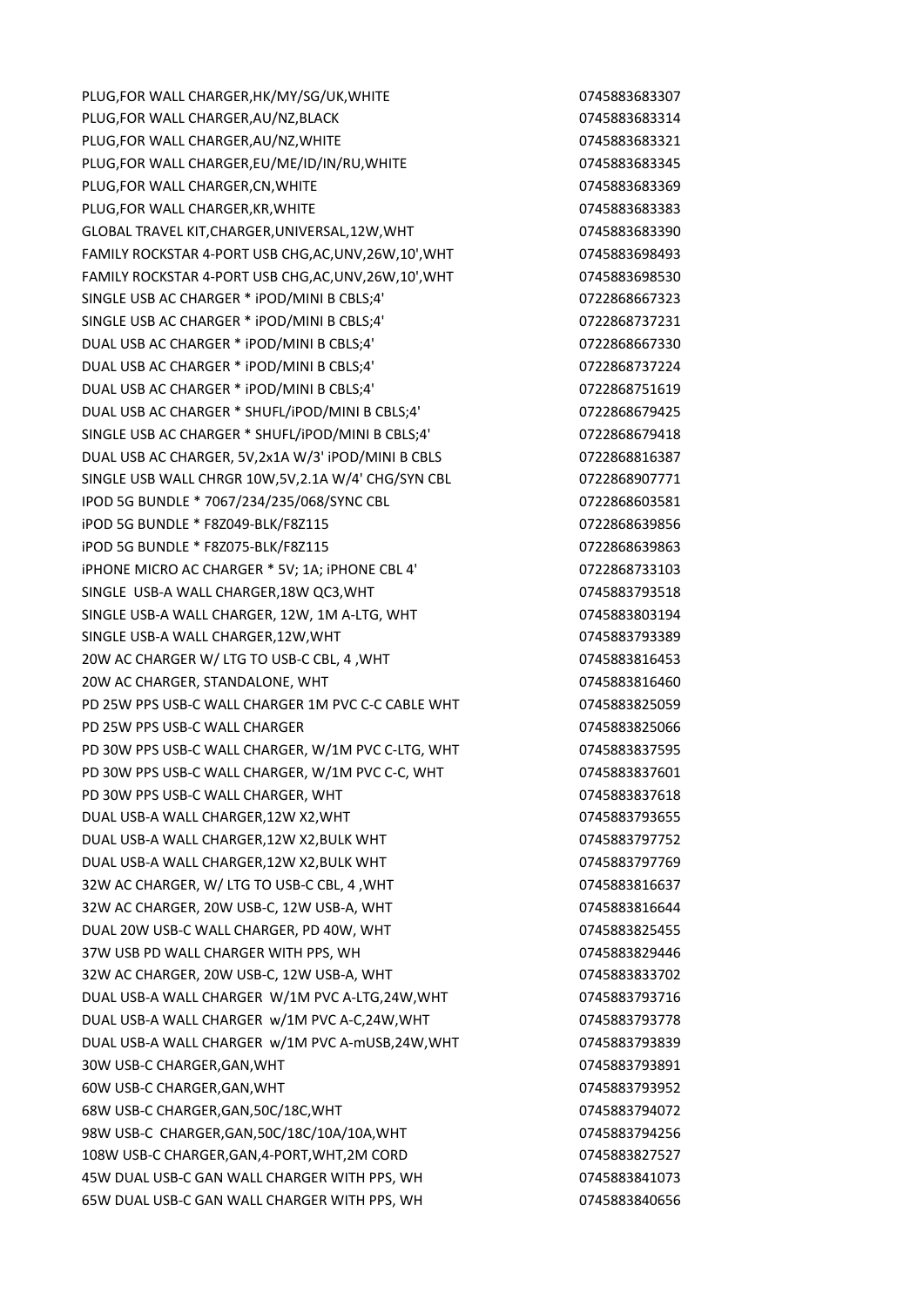PLUG.FOR WALL CHARGER.HK/MY/SG/UK,WHITE 0745883683307 PLUG.FOR WALL CHARGER.AU/NZ.BLACK 0745883683314 PLUG,FOR WALL CHARGER,AU/NZ,WHITE **CHARGER,AU/NZ,WHITE** 0745883683321 PLUG,FOR WALL CHARGER,EU/ME/ID/IN/RU,WHITE 0745883683345 PLUG,FOR WALL CHARGER,CN,WHITE 0745883683369 PLUG,FOR WALL CHARGER,KR,WHITE 0745883683383838383 GLOBAL TRAVEL KIT,CHARGER,UNIVERSAL,12W,WHT 0745883683390 FAMILY ROCKSTAR 4-PORT USB CHG,AC,UNV,26W,10',WHT 0745883698493 FAMILY ROCKSTAR 4-PORT USB CHG,AC,UNV,26W,10',WHT 0745883698530 SINGLE USB AC CHARGER \* iPOD/MINI B CBLS;4' 0722868667323 SINGLE USB AC CHARGER \* iPOD/MINI B CBLS;4' 0722868737231 DUAL USB AC CHARGER \* iPOD/MINI B CBLS;4' 0722868667330 DUAL USB AC CHARGER \* iPOD/MINI B CBLS;4' 0722868737224 DUAL USB AC CHARGER \* iPOD/MINI B CBLS;4' 0722868751619 DUAL USB AC CHARGER \* SHUFL/iPOD/MINI B CBLS;4' 0722868679425 SINGLE USB AC CHARGER \* SHUFL/iPOD/MINI B CBLS;4' 0722868679418 DUAL USB AC CHARGER, 5V,2x1A W/3' iPOD/MINI B CBLS 0722868816387 SINGLE USB WALL CHRGR 10W,5V,2.1A W/4' CHG/SYN CBL 0722868907771 IPOD 5G BUNDLE \* 7067/234/235/068/SYNC CBL 0722868603581 iPOD 5G BUNDLE \* F8Z049-BLK/F8Z115 0722868639856 iPOD 5G BUNDLE \* F8Z075-BLK/F8Z115 0722868639863 iPHONE MICRO AC CHARGER \* 5V; 1A; iPHONE CBL 4' 0722868733103 SINGLE USB-A WALL CHARGER,18W QC3,WHT 0745883793518 SINGLE USB-A WALL CHARGER, 12W, 1M A-LTG, WHT 0745883803194 SINGLE USB-A WALL CHARGER,12W,WHT 0745883793389 20W AC CHARGER W/ LTG TO USB-C CBL, 4 ,WHT 0745883816453 20W AC CHARGER, STANDALONE, WHT 0745883816460 PD 25W PPS USB-C WALL CHARGER 1M PVC C-C CABLE WHT 0745883825059 PD 25W PPS USB-C WALL CHARGER 0745883825066 PD 30W PPS USB-C WALL CHARGER, W/1M PVC C-LTG, WHT 0745883837595 PD 30W PPS USB-C WALL CHARGER, W/1M PVC C-C, WHT 0745883837601 PD 30W PPS USB-C WALL CHARGER, WHT CHARGER, WHICH CHARGER NUMBER 0745883837618 DUAL USB-A WALL CHARGER,12W X2,WHT 0745883793655 DUAL USB-A WALL CHARGER,12W X2,BULK WHT **CHARGER 1999** 0745883797752 DUAL USB-A WALL CHARGER,12W X2,BULK WHT 0745883797769 32W AC CHARGER, W/ LTG TO USB-C CBL, 4 ,WHT 0745883816637 32W AC CHARGER, 20W USB-C, 12W USB-A, WHT 0745883816644 DUAL 20W USB-C WALL CHARGER, PD 40W, WHT 0745883825455 37W USB PD WALL CHARGER WITH PPS, WH 0745883829446 32W AC CHARGER, 20W USB-C, 12W USB-A, WHT 0745883833702 DUAL USB-A WALL CHARGER W/1M PVC A-LTG,24W,WHT 0745883793716 DUAL USB-A WALL CHARGER w/1M PVC A-C,24W,WHT 0745883793778 DUAL USB-A WALL CHARGER w/1M PVC A-mUSB,24W,WHT 0745883793839 30W USB-C CHARGER,GAN,WHT 0745883793891 60W USB-C CHARGER,GAN,WHT 0745883793952 68W USB-C CHARGER,GAN,50C/18C,WHT 0745883794072 98W USB-C CHARGER,GAN,50C/18C/10A/10A,WHT 0745883794256 108W USB-C CHARGER,GAN,4-PORT,WHT,2M CORD 0745883827527 45W DUAL USB-C GAN WALL CHARGER WITH PPS, WH 0745883841073 65W DUAL USB-C GAN WALL CHARGER WITH PPS, WH 0745883840656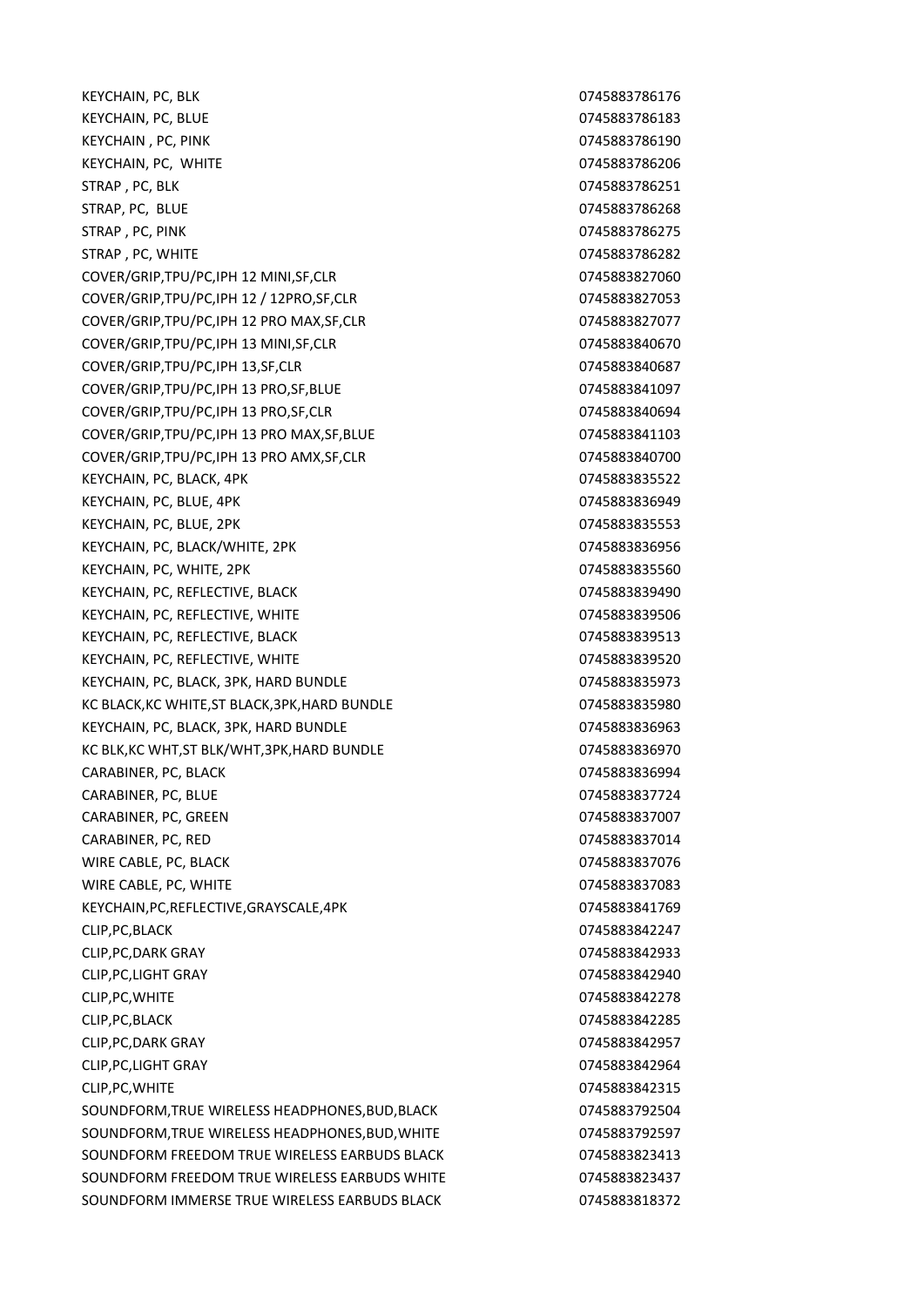KEYCHAIN, PC, BLK 0745883786176 KEYCHAIN, PC, BLUE 0745883786183 KEYCHAIN , PC, PINK 0745883786190 KEYCHAIN, PC, WHITE 0745883786206 STRAP , PC, BLK 0745883786251 STRAP, PC, BLUE 0745883786268 STRAP , PC, PINK 0745883786275 STRAP , PC, WHITE 2002 2003 2004 2004 2004 2004 2004 2012 2023 2034 204 204 204 204 204 205 206 207 208 209 20 COVER/GRIP,TPU/PC,IPH 12 MINI,SF,CLR 0745883827060 COVER/GRIP,TPU/PC,IPH 12 / 12PRO,SF,CLR 0745883827053 COVER/GRIP,TPU/PC,IPH 12 PRO MAX,SF,CLR 0745883827077 COVER/GRIP,TPU/PC,IPH 13 MINI,SF,CLR 0745883840670 COVER/GRIP,TPU/PC,IPH 13,SF,CLR 0745883840687 COVER/GRIP,TPU/PC,IPH 13 PRO,SF,BLUE 0745883841097 COVER/GRIP,TPU/PC,IPH 13 PRO,SF,CLR 0745883840694 COVER/GRIP,TPU/PC,IPH 13 PRO MAX,SF,BLUE 0745883841103 COVER/GRIP,TPU/PC,IPH 13 PRO AMX,SF,CLR 0745883840700 KEYCHAIN, PC, BLACK, 4PK 0745883835522 KEYCHAIN, PC, BLUE, 4PK 0745883836949 KEYCHAIN, PC, BLUE, 2PK 0745883835553 KEYCHAIN, PC, BLACK/WHITE, 2PK 0745883836956 KEYCHAIN, PC, WHITE, 2PK 0745883835560 KEYCHAIN, PC, REFLECTIVE, BLACK 0745883839490 KEYCHAIN, PC, REFLECTIVE, WHITE 0745883839506 KEYCHAIN, PC, REFLECTIVE, BLACK and the control of the control of the control of the control of the control of the control of the control of the control of the control of the control of the control of the control of the co KEYCHAIN, PC, REFLECTIVE, WHITE **CHAIN AREA CONSTRUSS** 0745883839520 KEYCHAIN, PC, BLACK, 3PK, HARD BUNDLE 6 (2008) 2745883835973 KC BLACK, KC WHITE, ST BLACK, 3PK, HARD BUNDLE 6745883835980 KEYCHAIN, PC, BLACK, 3PK, HARD BUNDLE 6 (2008) 274588383836963 KC BLK,KC WHT,ST BLK/WHT,3PK,HARD BUNDLE 6 074588383836970 CARABINER, PC, BLACK 0745883836994 CARABINER, PC, BLUE 0745883837724 CARABINER, PC, GREEN 0745883837007 CARABINER, PC, RED 0745883837014 WIRE CABLE, PC, BLACK 0745883837076 WIRE CABLE, PC, WHITE **CABLE, PC, WHITE** 2004 12:30 12:45883837083 KEYCHAIN, PC, REFLECTIVE, GRAYSCALE, 4PK 0745883841769 CLIP,PC,BLACK 0745883842247 CLIP,PC,DARK GRAY 0745883842933 CLIP,PC,LIGHT GRAY 0745883842940 CLIP,PC,WHITE 0745883842278 CLIP,PC,BLACK 0745883842285 CLIP,PC,DARK GRAY 0745883842957 CLIP,PC,LIGHT GRAY 0745883842964 CLIP, PC, WHITE 2002 0745883842315 SOUNDFORM,TRUE WIRELESS HEADPHONES,BUD,BLACK 0745883792504 SOUNDFORM.TRUE WIRELESS HEADPHONES.BUD.WHITE 0745883792597 SOUNDFORM FREEDOM TRUE WIRELESS EARBUDS BLACK **1998** 0745883823413 SOUNDFORM FREEDOM TRUE WIRELESS EARBUDS WHITE 0745883823437 SOUNDFORM IMMERSE TRUE WIRELESS EARBUDS BLACK 0745883818372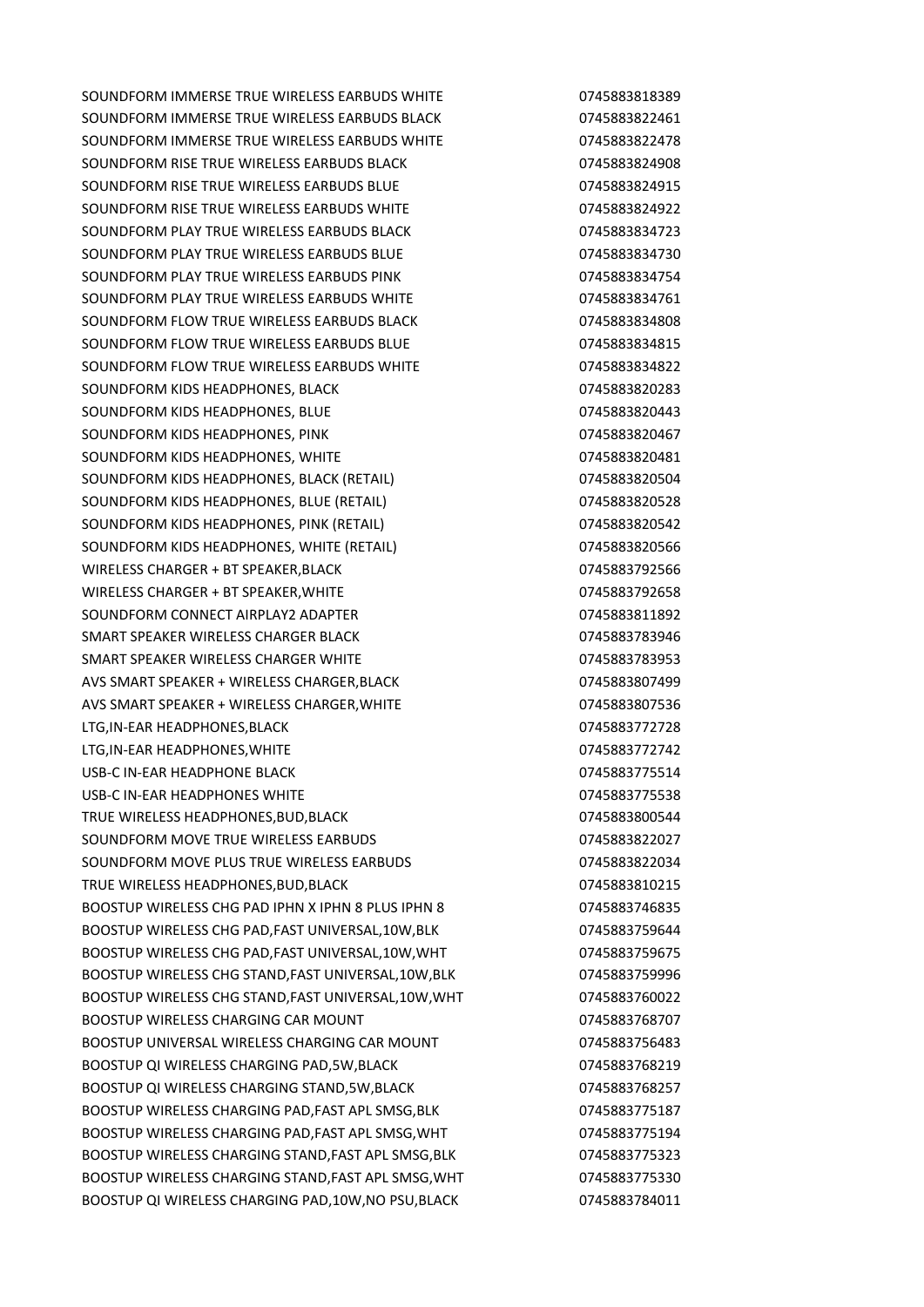SOUNDFORM IMMERSE TRUE WIRELESS EARBUDS WHITE  $0745883818389$ SOUNDFORM IMMERSE TRUE WIRFLESS FARBUDS BLACK **1999 120 1245883822461** SOUNDFORM IMMERSE TRUE WIRELESS EARBUDS WHITE  $0745883822478$ SOUNDFORM RISE TRUE WIRELESS EARBUDS BLACK **CONTROLL 1999** 0745883824908 SOUNDFORM RISE TRUE WIRELESS EARBUDS BLUE 0745883824915 SOUNDFORM RISE TRUE WIRELESS EARBUDS WHITE 0745883824922 SOUNDFORM PLAY TRUE WIRELESS EARBUDS BLACK **CONTROLL 1989** 0745883834723 SOUNDFORM PLAY TRUE WIRELESS FARBUDS BLUE 0745883834730 SOUNDFORM PLAY TRUE WIRELESS EARBUDS PINK **1998** 1999 100745883834754 SOUNDFORM PLAY TRUE WIRELESS EARBUDS WHITE  $0745883834761$ SOUNDFORM FLOW TRUE WIRELESS EARBUDS BLACK **CONTROLL 1999** 0745883834808 SOUNDFORM FLOW TRUE WIRELESS EARBUDS BLUE 0745883834815 SOUNDFORM FLOW TRUE WIRELESS EARBUDS WHITE 0745883834822 SOUNDFORM KIDS HEADPHONES, BLACK **CONSERVERSION CONTROLLY 0745883820283** SOUNDFORM KIDS HEADPHONES, BLUE 0745883820443 SOUNDFORM KIDS HEADPHONES, PINK 0745883820467 SOUNDFORM KIDS HEADPHONES, WHITE **1990 1000 10000 10000 10000 10000 10000** 10000 10000 10000 10000 10000 10000 10000 10000 10000 10000 10000 10000 10000 10000 10000 10000 10000 10000 10000 10000 10000 10000 10000 10000 100 SOUNDFORM KIDS HEADPHONES, BLACK (RETAIL) 0745883820504 SOUNDFORM KIDS HEADPHONES, BLUE (RETAIL) 0745883820528 SOUNDFORM KIDS HEADPHONES, PINK (RETAIL) 0745883820542 SOUNDFORM KIDS HEADPHONES, WHITE (RETAIL) 0745883820566 WIRELESS CHARGER + BT SPEAKER, BLACK 0745883792566 WIRELESS CHARGER + BT SPEAKER, WHITE 0745883792658 SOUNDFORM CONNECT AIRPLAY2 ADAPTER **CONNECT AIRPLAY2** ADAPTER SMART SPEAKER WIRELESS CHARGER BLACK **CHARGER ALSO ARE A CONSTRUSS OF A CONSTRUSS** 0745883783946 SMART SPEAKER WIRELESS CHARGER WHITE **1996 120 ASSESSED AT A 245883783953** AVS SMART SPEAKER + WIRELESS CHARGER,BLACK 0745883807499 AVS SMART SPEAKER + WIRELESS CHARGER, WHITE 0745883807536 LTG,IN-EAR HEADPHONES,BLACK **0745883772728** LTG,IN-EAR HEADPHONES,WHITE 0745883772742 USB-C IN-EAR HEADPHONE BLACK **CONSUMING THE CONSUMING CONSUMING A CONSUMING CONSUMING CONSUMING CONSUMING CONSUMI** USB-C IN-FAR HEADPHONES WHITE 0745883775538 TRUE WIRELESS HEADPHONES, BUD, BLACK CONTROL CONTROL CONTROL CONTROL CONTROL CONTROL CONTROL CONTROL CONTROL COMMUNISTIES SOUNDFORM MOVE TRUE WIRELESS EARBUDS 0745883822027 SOUNDFORM MOVE PLUS TRUE WIRELESS EARBUDS 0745883822034 TRUE WIRELESS HEADPHONES, BUD, BLACK **CHANNES AND REAL CONTROLLY 1999** 0745883810215 BOOSTUP WIRELESS CHG PAD IPHN X IPHN 8 PLUS IPHN 8 0745883746835 BOOSTUP WIRELESS CHG PAD, FAST UNIVERSAL, 10W, BLK 0745883759644 BOOSTUP WIRELESS CHG PAD,FAST UNIVERSAL,10W,WHT 0745883759675 BOOSTUP WIRELESS CHG STAND, FAST UNIVERSAL, 10W, BLK 0745883759996 BOOSTUP WIRELESS CHG STAND,FAST UNIVERSAL,10W,WHT 0745883760022 BOOSTUP WIRELESS CHARGING CAR MOUNT 0745883768707 BOOSTUP UNIVERSAL WIRELESS CHARGING CAR MOUNT 0745883756483 BOOSTUP QI WIRELESS CHARGING PAD,5W,BLACK **CHARGIOS 2014** 0745883768219 BOOSTUP QI WIRELESS CHARGING STAND,5W,BLACK 0745883768257 BOOSTUP WIRELESS CHARGING PAD, FAST APL SMSG, BLK 0745883775187 BOOSTUP WIRELESS CHARGING PAD,FAST APL SMSG,WHT 0745883775194 BOOSTUP WIRELESS CHARGING STAND,FAST APL SMSG,BLK 0745883775323 BOOSTUP WIRELESS CHARGING STAND, FAST APL SMSG, WHT 6745883775330 BOOSTUP QI WIRELESS CHARGING PAD,10W,NO PSU,BLACK 0745883784011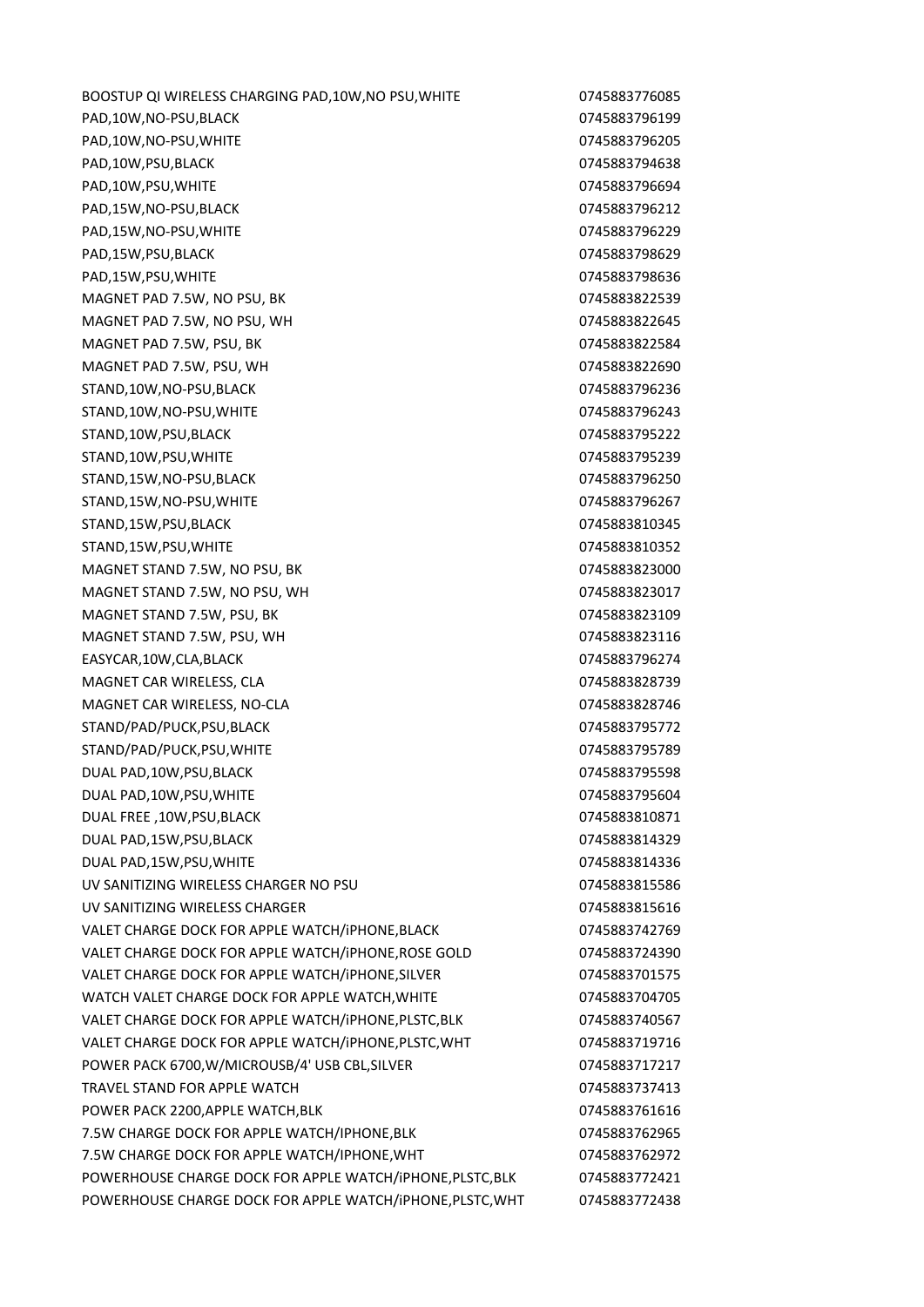BOOSTUP QI WIRELESS CHARGING PAD, 10W, NO PSU, WHITE 0745883776085 PAD.10W.NO-PSU.BLACK 0745883796199 PAD,10W,NO-PSU,WHITE 0745883796205 PAD,10W,PSU,BLACK 0745883794638 PAD.10W.PSU.WHITE 0745883796694 PAD,15W,NO-PSU,BLACK 0745883796212 PAD,15W,NO-PSU,WHITE 0745883796229 PAD.15W.PSU.BLACK 0745883798629 PAD,15W,PSU,WHITE 0745883798636 MAGNET PAD 7.5W, NO PSU, BK 0745883822539 MAGNET PAD 7.5W, NO PSU, WH 0745883822645 MAGNET PAD 7.5W, PSU, BK 0745883822584 MAGNET PAD 7.5W, PSU, WH 0745883822690 STAND,10W,NO-PSU,BLACK 0745883796236 STAND,10W,NO-PSU,WHITE 0745883796243 STAND,10W,PSU,BLACK 0745883795222 STAND,10W,PSU,WHITE 0745883795239 STAND,15W,NO-PSU,BLACK 0745883796250 STAND,15W,NO-PSU,WHITE 0745883796267 STAND,15W,PSU,BLACK 0745883810345 STAND,15W,PSU,WHITE 0745883810352 MAGNET STAND 7.5W, NO PSU, BK 0745883823000 MAGNET STAND 7.5W, NO PSU, WH 0745883823017 MAGNET STAND 7.5W, PSU, BK 0745883823109 MAGNET STAND 7.5W, PSU, WH 0745883823116 EASYCAR,10W,CLA,BLACK 0745883796274 MAGNET CAR WIRELESS, CLA 0745883828739 MAGNET CAR WIRELESS, NO-CLA 0745883828746 STAND/PAD/PUCK,PSU,BLACK 0745883795772 STAND/PAD/PUCK,PSU,WHITE 0745883795789 DUAL PAD,10W,PSU,BLACK 0745883795598 DUAL PAD,10W,PSU,WHITE 0745883795604 DUAL FREE ,10W,PSU,BLACK 0745883810871 DUAL PAD,15W,PSU,BLACK 0745883814329 DUAL PAD,15W,PSU,WHITE 0745883814336 UV SANITIZING WIRELESS CHARGER NO PSU CHARGER NO PSU UV SANITIZING WIRELESS CHARGER **CHARGER** 6745883815616 VALET CHARGE DOCK FOR APPLE WATCH/IPHONE, BLACK **CHARGE 0745883742769** VALET CHARGE DOCK FOR APPLE WATCH/iPHONE,ROSE GOLD 0745883724390 VALET CHARGE DOCK FOR APPLE WATCH/IPHONE, SILVER **CHARGE 0745883701575** WATCH VALET CHARGE DOCK FOR APPLE WATCH, WHITE 0745883704705 VALET CHARGE DOCK FOR APPLE WATCH/iPHONE,PLSTC,BLK 0745883740567 VALET CHARGE DOCK FOR APPLE WATCH/iPHONE,PLSTC,WHT 0745883719716 POWER PACK 6700, W/MICROUSB/4' USB CBL, SILVER 0745883717217 TRAVEL STAND FOR APPLE WATCH **CONSUMING THE CONSUMING CONSUMING A CONSUMING THE CONSUMING OF A CONSUMING THE CONSUMING CONSUMING THE CONSUMING OF A CONSUMING THE CONSUMING OF A CONSUMING OF A CONSUMING THE CONSUMING OF A C** POWER PACK 2200.APPLE WATCH,BLK 0745883761616 7.5W CHARGE DOCK FOR APPLE WATCH/IPHONE,BLK 0745883762965 7.5W CHARGE DOCK FOR APPLE WATCH/IPHONE,WHT 0745883762972 POWERHOUSE CHARGE DOCK FOR APPLE WATCH/iPHONE, PLSTC, BLK 0745883772421 POWERHOUSE CHARGE DOCK FOR APPLE WATCH/iPHONE,PLSTC,WHT 0745883772438